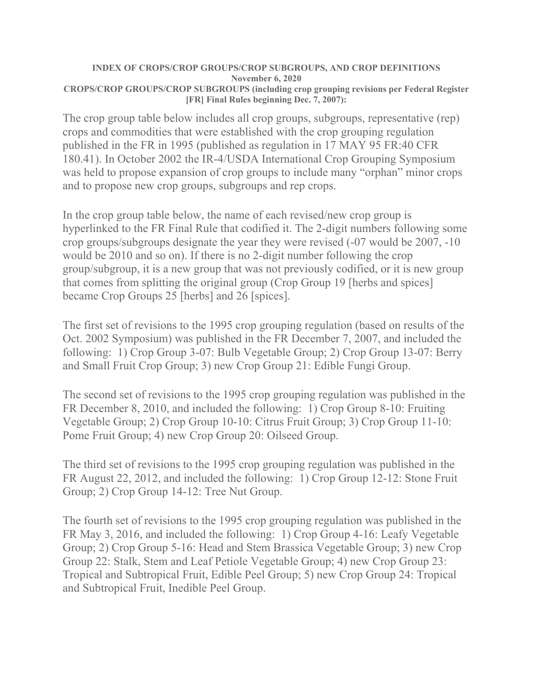## **INDEX OF CROPS/CROP GROUPS/CROP SUBGROUPS, AND CROP DEFINITIONS November 6, 2020 CROPS/CROP GROUPS/CROP SUBGROUPS (including crop grouping revisions per Federal Register [FR] Final Rules beginning Dec. 7, 2007):**

The crop group table below includes all crop groups, subgroups, representative (rep) crops and commodities that were established with the crop grouping regulation published in the FR in 1995 (published as regulation in 17 MAY 95 FR:40 CFR 180.41). In October 2002 the IR-4/USDA International Crop Grouping Symposium was held to propose expansion of crop groups to include many "orphan" minor crops and to propose new crop groups, subgroups and rep crops.

In the crop group table below, the name of each revised/new crop group is hyperlinked to the FR Final Rule that codified it. The 2-digit numbers following some crop groups/subgroups designate the year they were revised (-07 would be 2007, -10 would be 2010 and so on). If there is no 2-digit number following the crop group/subgroup, it is a new group that was not previously codified, or it is new group that comes from splitting the original group (Crop Group 19 [herbs and spices] became Crop Groups 25 [herbs] and 26 [spices].

The first set of revisions to the 1995 crop grouping regulation (based on results of the Oct. 2002 Symposium) was published in the FR December 7, 2007, and included the following: 1) Crop Group 3-07: Bulb Vegetable Group; 2) Crop Group 13-07: Berry and Small Fruit Crop Group; 3) new Crop Group 21: Edible Fungi Group.

The second set of revisions to the 1995 crop grouping regulation was published in the FR December 8, 2010, and included the following: 1) Crop Group 8-10: Fruiting Vegetable Group; 2) Crop Group 10-10: Citrus Fruit Group; 3) Crop Group 11-10: Pome Fruit Group; 4) new Crop Group 20: Oilseed Group.

The third set of revisions to the 1995 crop grouping regulation was published in the FR August 22, 2012, and included the following: 1) Crop Group 12-12: Stone Fruit Group; 2) Crop Group 14-12: Tree Nut Group.

The fourth set of revisions to the 1995 crop grouping regulation was published in the FR May 3, 2016, and included the following: 1) Crop Group 4-16: Leafy Vegetable Group; 2) Crop Group 5-16: Head and Stem Brassica Vegetable Group; 3) new Crop Group 22: Stalk, Stem and Leaf Petiole Vegetable Group; 4) new Crop Group 23: Tropical and Subtropical Fruit, Edible Peel Group; 5) new Crop Group 24: Tropical and Subtropical Fruit, Inedible Peel Group.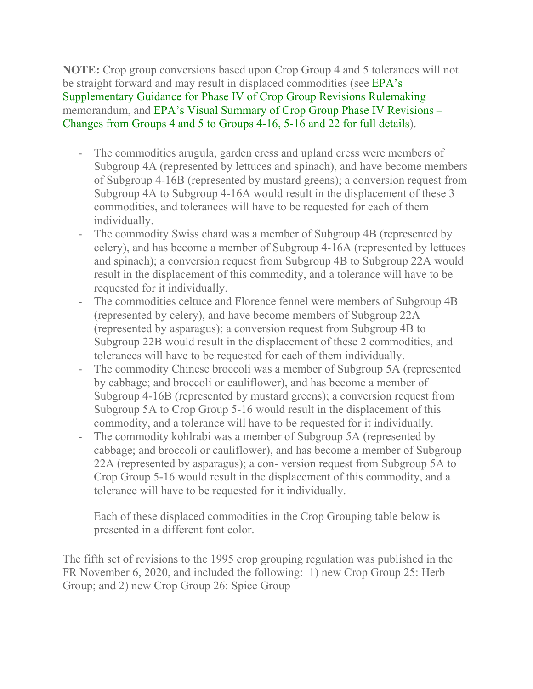**NOTE:** Crop group conversions based upon Crop Group 4 and 5 tolerances will not be straight forward and may result in displaced commodities (see [EPA's](https://www.regulations.gov/document?D=EPA-HQ-OPP-2006-0766-0093)  [Supplementary Guidance for Phase IV of Crop Group Revisions Rulemaking](https://www.regulations.gov/document?D=EPA-HQ-OPP-2006-0766-0093) memorandum, and [EPA's Visual Summary of Crop Group Phase IV Revisions –](https://www.regulations.gov/document?D=EPA-HQ-OPP-2006-0766-0089)  [Changes from Groups 4 and 5 to Groups 4-16, 5-16 and 22 for full details\)](https://www.regulations.gov/document?D=EPA-HQ-OPP-2006-0766-0089).

- The commodities arugula, garden cress and upland cress were members of Subgroup 4A (represented by lettuces and spinach), and have become members of Subgroup 4-16B (represented by mustard greens); a conversion request from Subgroup 4A to Subgroup 4-16A would result in the displacement of these 3 commodities, and tolerances will have to be requested for each of them individually.
- The commodity Swiss chard was a member of Subgroup 4B (represented by celery), and has become a member of Subgroup 4-16A (represented by lettuces and spinach); a conversion request from Subgroup 4B to Subgroup 22A would result in the displacement of this commodity, and a tolerance will have to be requested for it individually.
- The commodities celtuce and Florence fennel were members of Subgroup 4B (represented by celery), and have become members of Subgroup 22A (represented by asparagus); a conversion request from Subgroup 4B to Subgroup 22B would result in the displacement of these 2 commodities, and tolerances will have to be requested for each of them individually.
- The commodity Chinese broccoli was a member of Subgroup 5A (represented by cabbage; and broccoli or cauliflower), and has become a member of Subgroup 4-16B (represented by mustard greens); a conversion request from Subgroup 5A to Crop Group 5-16 would result in the displacement of this commodity, and a tolerance will have to be requested for it individually.
- The commodity kohlrabi was a member of Subgroup 5A (represented by cabbage; and broccoli or cauliflower), and has become a member of Subgroup 22A (represented by asparagus); a con- version request from Subgroup 5A to Crop Group 5-16 would result in the displacement of this commodity, and a tolerance will have to be requested for it individually.

Each of these displaced commodities in the Crop Grouping table below is presented in a different font color.

The fifth set of revisions to the 1995 crop grouping regulation was published in the FR November 6, 2020, and included the following: 1) new Crop Group 25: Herb Group; and 2) new Crop Group 26: Spice Group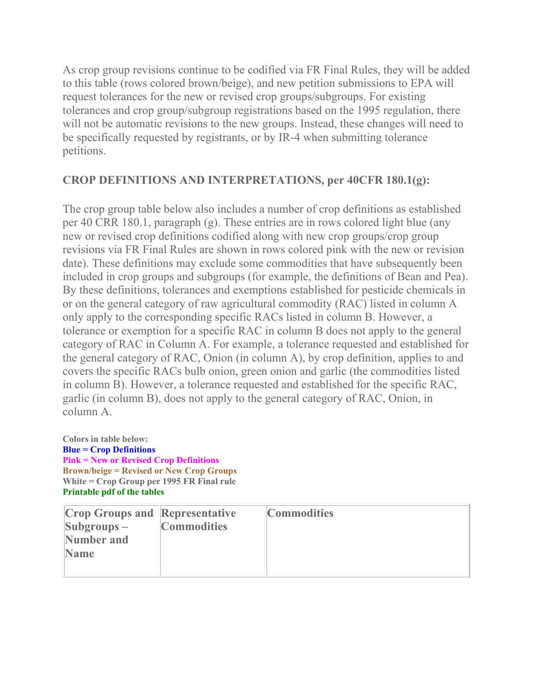As crop group revisions continue to be codified via FR Final Rules, they will be added to this table (rows colored brown/beige), and new petition submissions to EPA will request tolerances for the new or revised crop groups/subgroups. For existing tolerances and crop group/subgroup registrations based on the 1995 regulation, there will not be automatic revisions to the new groups. Instead, these changes will need to be specifically requested by registrants, or by IR-4 when submitting tolerance petitions.

## **CROP DEFINITIONS AND INTERPRETATIONS, per 40CFR 180.1(g):**

The crop group table below also includes a number of crop definitions as established per 40 CRR 180.1, paragraph (g). These entries are in rows colored light blue (any new or revised crop definitions codified along with new crop groups/crop group revisions via FR Final Rules are shown in rows colored pink with the new or revision date). These definitions may exclude some commodities that have subsequently been included in crop groups and subgroups (for example, the definitions of Bean and Pea). By these definitions, tolerances and exemptions established for pesticide chemicals in or on the general category of raw agricultural commodity (RAC) listed in column A only apply to the corresponding specific RACs listed in column B. However, a tolerance or exemption for a specific RAC in column B does not apply to the general category of RAC in Column A. For example, a tolerance requested and established for the general category of RAC, Onion (in column A), by crop definition, applies to and covers the specific RACs bulb onion, green onion and garlic (the commodities listed in column B). However, a tolerance requested and established for the specific RAC, garlic (in column B), does not apply to the general category of RAC, Onion, in column A.

**Colors in table below: Blue = Crop Definitions Pink = New or Revised Crop Definitions Brown/beige = Revised or New Crop Groups White = Crop Group per 1995 FR Final rule [Printable pdf of the tables](https://www.ir4project.org/wp-content/uploads/2018/09/INDEX-OF-CROPS.pdf)**

| <b>Crop Groups and Representative</b> |                    | <b>Commodities</b> |
|---------------------------------------|--------------------|--------------------|
| $\left \text{Subgroups} - \right $    | <b>Commodities</b> |                    |
| Number and                            |                    |                    |
| <b>Name</b>                           |                    |                    |
|                                       |                    |                    |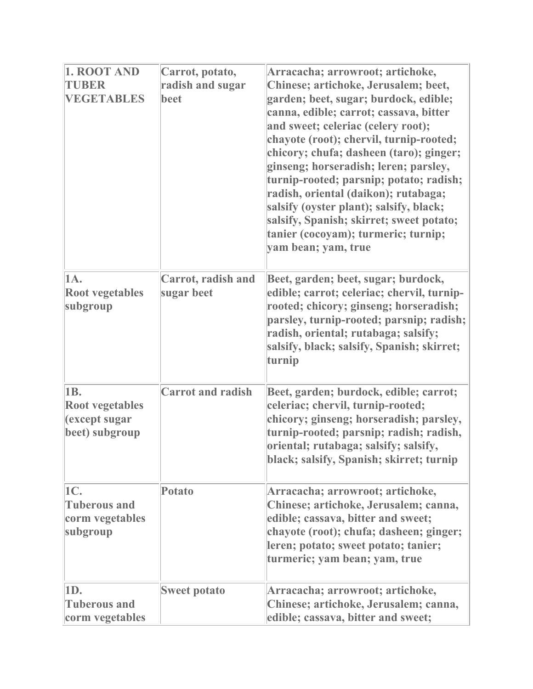| 1. ROOT AND<br>TUBER<br><b>VEGETABLES</b>                        | Carrot, potato,<br>radish and sugar<br>beet | Arracacha; arrowroot; artichoke,<br>Chinese; artichoke, Jerusalem; beet,<br>garden; beet, sugar; burdock, edible;<br>canna, edible; carrot; cassava, bitter<br>and sweet; celeriac (celery root);<br>chayote (root); chervil, turnip-rooted;<br>chicory; chufa; dasheen (taro); ginger;<br>ginseng; horseradish; leren; parsley,<br>turnip-rooted; parsnip; potato; radish;<br>radish, oriental (daikon); rutabaga;<br>salsify (oyster plant); salsify, black;<br>salsify, Spanish; skirret; sweet potato;<br>tanier (cocoyam); turmeric; turnip;<br>yam bean; yam, true |
|------------------------------------------------------------------|---------------------------------------------|--------------------------------------------------------------------------------------------------------------------------------------------------------------------------------------------------------------------------------------------------------------------------------------------------------------------------------------------------------------------------------------------------------------------------------------------------------------------------------------------------------------------------------------------------------------------------|
| 1A.<br><b>Root vegetables</b><br>subgroup                        | <b>Carrot, radish and</b><br>sugar beet     | Beet, garden; beet, sugar; burdock,<br>edible; carrot; celeriac; chervil, turnip-<br>rooted; chicory; ginseng; horseradish;<br>parsley, turnip-rooted; parsnip; radish;<br>radish, oriental; rutabaga; salsify;<br>salsify, black; salsify, Spanish; skirret;<br>turnip                                                                                                                                                                                                                                                                                                  |
| 1B.<br><b>Root vegetables</b><br>(except sugar<br>beet) subgroup | <b>Carrot and radish</b>                    | Beet, garden; burdock, edible; carrot;<br>celeriac; chervil, turnip-rooted;<br>chicory; ginseng; horseradish; parsley,<br>turnip-rooted; parsnip; radish; radish,<br>oriental; rutabaga; salsify; salsify,<br>black; salsify, Spanish; skirret; turnip                                                                                                                                                                                                                                                                                                                   |
| 1C.<br><b>Tuberous and</b><br>corm vegetables<br>subgroup        | <b>Potato</b>                               | Arracacha; arrowroot; artichoke,<br>Chinese; artichoke, Jerusalem; canna,<br>edible; cassava, bitter and sweet;<br>chayote (root); chufa; dasheen; ginger;<br>leren; potato; sweet potato; tanier;<br>turmeric; yam bean; yam, true                                                                                                                                                                                                                                                                                                                                      |
| 1D.<br><b>Tuberous and</b><br>corm vegetables                    | <b>Sweet potato</b>                         | Arracacha; arrowroot; artichoke,<br>Chinese; artichoke, Jerusalem; canna,<br>edible; cassava, bitter and sweet;                                                                                                                                                                                                                                                                                                                                                                                                                                                          |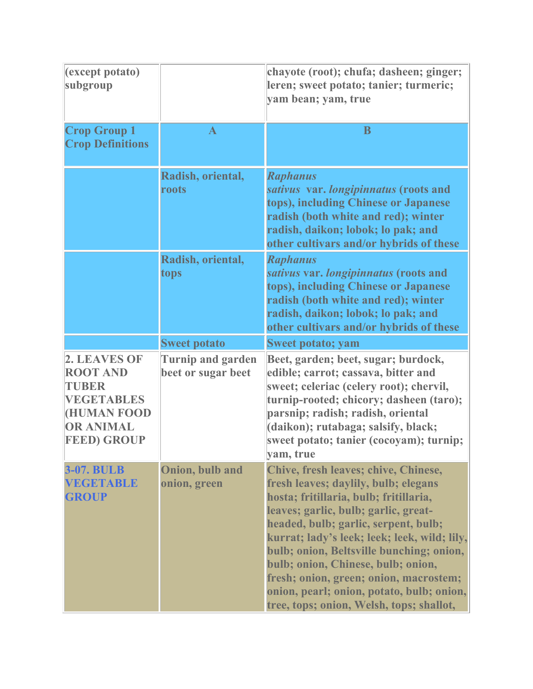| (except potato)<br>subgroup                                                                                                  |                                                | chayote (root); chufa; dasheen; ginger;<br>leren; sweet potato; tanier; turmeric;<br>yam bean; yam, true                                                                                                                                                                                                                                                                                                                                                                    |
|------------------------------------------------------------------------------------------------------------------------------|------------------------------------------------|-----------------------------------------------------------------------------------------------------------------------------------------------------------------------------------------------------------------------------------------------------------------------------------------------------------------------------------------------------------------------------------------------------------------------------------------------------------------------------|
| <b>Crop Group 1</b><br><b>Crop Definitions</b>                                                                               | $\mathbf{A}$                                   | B                                                                                                                                                                                                                                                                                                                                                                                                                                                                           |
|                                                                                                                              | Radish, oriental,<br>roots                     | <b>Raphanus</b><br>sativus var. longipinnatus (roots and<br>tops), including Chinese or Japanese<br>radish (both white and red); winter<br>radish, daikon; lobok; lo pak; and<br>other cultivars and/or hybrids of these                                                                                                                                                                                                                                                    |
|                                                                                                                              | Radish, oriental,<br>tops                      | <b>Raphanus</b><br>sativus var. longipinnatus (roots and<br>tops), including Chinese or Japanese<br>radish (both white and red); winter<br>radish, daikon; lobok; lo pak; and<br>other cultivars and/or hybrids of these                                                                                                                                                                                                                                                    |
|                                                                                                                              | <b>Sweet potato</b>                            | <b>Sweet potato; yam</b>                                                                                                                                                                                                                                                                                                                                                                                                                                                    |
| 2. LEAVES OF<br><b>ROOT AND</b><br>TUBER<br><b>VEGETABLES</b><br><b>HUMAN FOOD</b><br><b>OR ANIMAL</b><br><b>FEED) GROUP</b> | <b>Turnip and garden</b><br>beet or sugar beet | Beet, garden; beet, sugar; burdock,<br>edible; carrot; cassava, bitter and<br>sweet; celeriac (celery root); chervil,<br>turnip-rooted; chicory; dasheen (taro);<br>parsnip; radish; radish, oriental<br>(daikon); rutabaga; salsify, black;<br>sweet potato; tanier (cocoyam); turnip;<br>yam, true                                                                                                                                                                        |
| <b>3-07. BULB</b><br><b>VEGETABLE</b><br><b>GROUP</b>                                                                        | Onion, bulb and<br>onion, green                | Chive, fresh leaves; chive, Chinese,<br>fresh leaves; daylily, bulb; elegans<br>hosta; fritillaria, bulb; fritillaria,<br>leaves; garlic, bulb; garlic, great-<br>headed, bulb; garlic, serpent, bulb;<br>kurrat; lady's leek; leek; leek, wild; lily,<br>bulb; onion, Beltsville bunching; onion,<br>bulb; onion, Chinese, bulb; onion,<br>fresh; onion, green; onion, macrostem;<br>onion, pearl; onion, potato, bulb; onion,<br>tree, tops; onion, Welsh, tops; shallot, |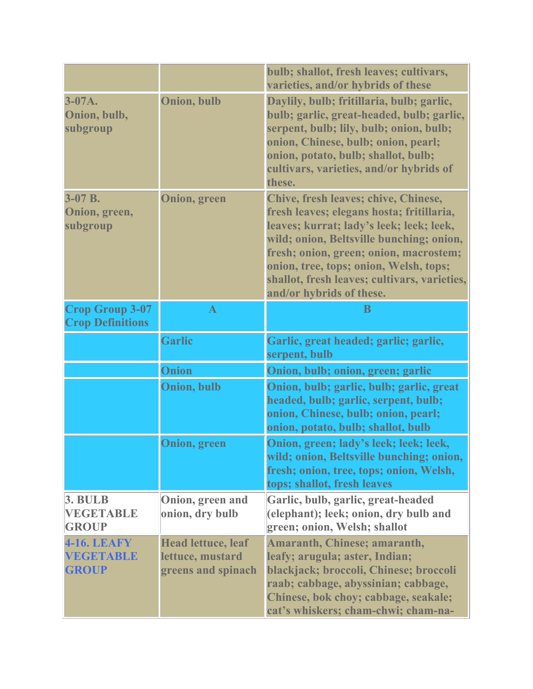|                                                    |                                                                     | bulb; shallot, fresh leaves; cultivars,<br>varieties, and/or hybrids of these                                                                                                                                                                                                                                                             |
|----------------------------------------------------|---------------------------------------------------------------------|-------------------------------------------------------------------------------------------------------------------------------------------------------------------------------------------------------------------------------------------------------------------------------------------------------------------------------------------|
| $3-07A.$<br>Onion, bulb,<br>subgroup               | <b>Onion, bulb</b>                                                  | Daylily, bulb; fritillaria, bulb; garlic,<br>bulb; garlic, great-headed, bulb; garlic,<br>serpent, bulb; lily, bulb; onion, bulb;<br>onion, Chinese, bulb; onion, pearl;<br>onion, potato, bulb; shallot, bulb;<br>cultivars, varieties, and/or hybrids of<br>these.                                                                      |
| $3-07 B.$<br>Onion, green,<br>subgroup             | <b>Onion</b> , green                                                | Chive, fresh leaves; chive, Chinese,<br>fresh leaves; elegans hosta; fritillaria,<br>leaves; kurrat; lady's leek; leek; leek,<br>wild; onion, Beltsville bunching; onion,<br>fresh; onion, green; onion, macrostem;<br>onion, tree, tops; onion, Welsh, tops;<br>shallot, fresh leaves; cultivars, varieties,<br>and/or hybrids of these. |
| <b>Crop Group 3-07</b><br><b>Crop Definitions</b>  | $\mathbf A$                                                         | B                                                                                                                                                                                                                                                                                                                                         |
|                                                    | <b>Garlic</b>                                                       | Garlic, great headed; garlic; garlic,<br>serpent, bulb                                                                                                                                                                                                                                                                                    |
|                                                    | Onion                                                               | Onion, bulb; onion, green; garlic                                                                                                                                                                                                                                                                                                         |
|                                                    | Onion, bulb                                                         | Onion, bulb; garlic, bulb; garlic, great<br>headed, bulb; garlic, serpent, bulb;<br>onion, Chinese, bulb; onion, pearl;<br>onion, potato, bulb; shallot, bulb                                                                                                                                                                             |
|                                                    | <b>Onion</b> , green                                                | Onion, green; lady's leek; leek; leek,<br>wild; onion, Beltsville bunching; onion,<br>fresh; onion, tree, tops; onion, Welsh,<br>tops; shallot, fresh leaves                                                                                                                                                                              |
| 3. <b>BULB</b><br><b>VEGETABLE</b><br><b>GROUP</b> | Onion, green and<br>onion, dry bulb                                 | Garlic, bulb, garlic, great-headed<br>(elephant); leek; onion, dry bulb and<br>green; onion, Welsh; shallot                                                                                                                                                                                                                               |
| <b>4-16. LEAFY</b><br>VEGETABLE<br><b>GROUP</b>    | <b>Head lettuce, leaf</b><br>lettuce, mustard<br>greens and spinach | <b>Amaranth, Chinese; amaranth,</b><br>leafy; arugula; aster, Indian;<br>blackjack; broccoli, Chinese; broccoli<br>raab; cabbage, abyssinian; cabbage,<br>Chinese, bok choy; cabbage, seakale;<br>cat's whiskers; cham-chwi; cham-na-                                                                                                     |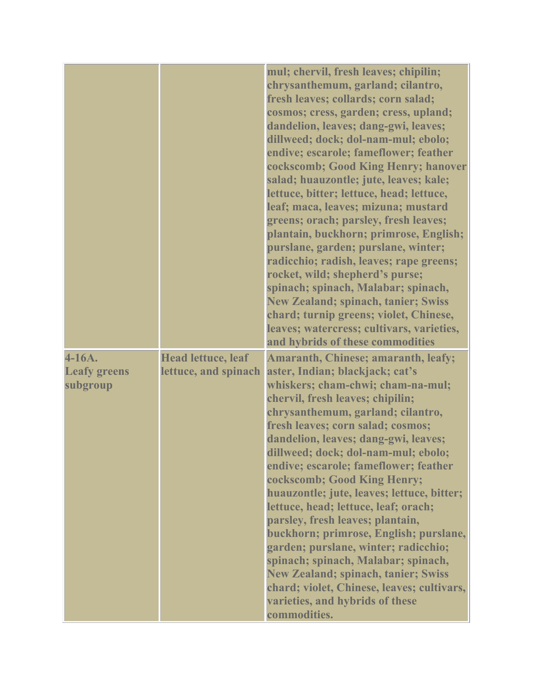|                                           |                                                   | mul; chervil, fresh leaves; chipilin;<br>chrysanthemum, garland; cilantro,<br>fresh leaves; collards; corn salad;<br>cosmos; cress, garden; cress, upland;<br>dandelion, leaves; dang-gwi, leaves;<br>dillweed; dock; dol-nam-mul; ebolo;<br>endive; escarole; fameflower; feather<br>cockscomb; Good King Henry; hanover<br>salad; huauzontle; jute, leaves; kale;<br>lettuce, bitter; lettuce, head; lettuce,<br>leaf; maca, leaves; mizuna; mustard<br>greens; orach; parsley, fresh leaves;<br>plantain, buckhorn; primrose, English;<br>purslane, garden; purslane, winter;<br>radicchio; radish, leaves; rape greens;<br>rocket, wild; shepherd's purse;<br>spinach; spinach, Malabar; spinach,<br><b>New Zealand; spinach, tanier; Swiss</b><br>chard; turnip greens; violet, Chinese,<br>leaves; watercress; cultivars, varieties,<br>and hybrids of these commodities |
|-------------------------------------------|---------------------------------------------------|--------------------------------------------------------------------------------------------------------------------------------------------------------------------------------------------------------------------------------------------------------------------------------------------------------------------------------------------------------------------------------------------------------------------------------------------------------------------------------------------------------------------------------------------------------------------------------------------------------------------------------------------------------------------------------------------------------------------------------------------------------------------------------------------------------------------------------------------------------------------------------|
| 4-16A.<br><b>Leafy greens</b><br>subgroup | <b>Head lettuce, leaf</b><br>lettuce, and spinach | <b>Amaranth, Chinese; amaranth, leafy;</b><br>aster, Indian; blackjack; cat's<br>whiskers; cham-chwi; cham-na-mul;<br>chervil, fresh leaves; chipilin;<br>chrysanthemum, garland; cilantro,<br>fresh leaves; corn salad; cosmos;<br>dandelion, leaves; dang-gwi, leaves;<br>dillweed; dock; dol-nam-mul; ebolo;<br>endive; escarole; fameflower; feather<br>cockscomb; Good King Henry;<br>huauzontle; jute, leaves; lettuce, bitter;<br>lettuce, head; lettuce, leaf; orach;<br>parsley, fresh leaves; plantain,<br>buckhorn; primrose, English; purslane,<br>garden; purslane, winter; radicchio;<br>spinach; spinach, Malabar; spinach,<br><b>New Zealand; spinach, tanier; Swiss</b><br>chard; violet, Chinese, leaves; cultivars,<br>varieties, and hybrids of these<br>commodities.                                                                                      |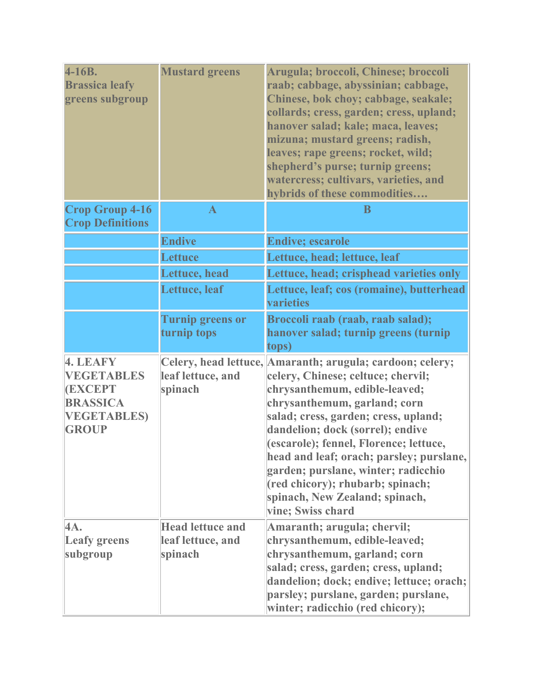| $4-16B.$<br><b>Brassica leafy</b><br>greens subgroup                                                    | <b>Mustard greens</b>                                   | Arugula; broccoli, Chinese; broccoli<br>raab; cabbage, abyssinian; cabbage,<br>Chinese, bok choy; cabbage, seakale;<br>collards; cress, garden; cress, upland;<br>hanover salad; kale; maca, leaves;<br>mizuna; mustard greens; radish,<br>leaves; rape greens; rocket, wild;<br>shepherd's purse; turnip greens;<br>watercress; cultivars, varieties, and<br>hybrids of these commodities                                                                           |
|---------------------------------------------------------------------------------------------------------|---------------------------------------------------------|----------------------------------------------------------------------------------------------------------------------------------------------------------------------------------------------------------------------------------------------------------------------------------------------------------------------------------------------------------------------------------------------------------------------------------------------------------------------|
| <b>Crop Group 4-16</b><br><b>Crop Definitions</b>                                                       | $\mathbf{A}$                                            | B                                                                                                                                                                                                                                                                                                                                                                                                                                                                    |
|                                                                                                         | <b>Endive</b>                                           | <b>Endive; escarole</b>                                                                                                                                                                                                                                                                                                                                                                                                                                              |
|                                                                                                         | <b>Lettuce</b>                                          | Lettuce, head; lettuce, leaf                                                                                                                                                                                                                                                                                                                                                                                                                                         |
|                                                                                                         | Lettuce, head                                           | Lettuce, head; crisphead varieties only                                                                                                                                                                                                                                                                                                                                                                                                                              |
|                                                                                                         | <b>Lettuce</b> , leaf                                   | Lettuce, leaf; cos (romaine), butterhead<br>varieties                                                                                                                                                                                                                                                                                                                                                                                                                |
|                                                                                                         | <b>Turnip greens or</b><br>turnip tops                  | Broccoli raab (raab, raab salad);<br>hanover salad; turnip greens (turnip<br>tops)                                                                                                                                                                                                                                                                                                                                                                                   |
| 4. LEAFY<br><b>VEGETABLES</b><br><b>(EXCEPT</b><br><b>BRASSICA</b><br><b>VEGETABLES</b><br><b>GROUP</b> | leaf lettuce, and<br>spinach                            | Celery, head lettuce, Amaranth; arugula; cardoon; celery;<br>celery, Chinese; celtuce; chervil;<br>chrysanthemum, edible-leaved;<br>chrysanthemum, garland; corn<br>salad; cress, garden; cress, upland;<br>dandelion; dock (sorrel); endive<br>(escarole); fennel, Florence; lettuce,<br>head and leaf; orach; parsley; purslane,<br>garden; purslane, winter; radicchio<br>(red chicory); rhubarb; spinach;<br>spinach, New Zealand; spinach,<br>vine; Swiss chard |
| 4A.<br><b>Leafy greens</b><br>subgroup                                                                  | <b>Head lettuce and</b><br>leaf lettuce, and<br>spinach | Amaranth; arugula; chervil;<br>chrysanthemum, edible-leaved;<br>chrysanthemum, garland; corn<br>salad; cress, garden; cress, upland;<br>dandelion; dock; endive; lettuce; orach;<br>parsley; purslane, garden; purslane,<br>winter; radicchio (red chicory);                                                                                                                                                                                                         |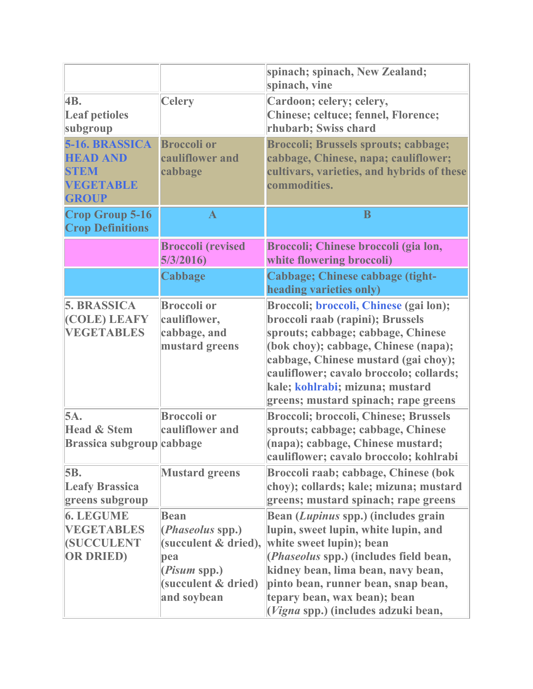|                                                                                      |                                                                                                                              | spinach; spinach, New Zealand;<br>spinach, vine                                                                                                                                                                                                                                                                               |
|--------------------------------------------------------------------------------------|------------------------------------------------------------------------------------------------------------------------------|-------------------------------------------------------------------------------------------------------------------------------------------------------------------------------------------------------------------------------------------------------------------------------------------------------------------------------|
| 4B.<br><b>Leaf petioles</b><br>subgroup                                              | <b>Celery</b>                                                                                                                | Cardoon; celery; celery,<br>Chinese; celtuce; fennel, Florence;<br>rhubarb; Swiss chard                                                                                                                                                                                                                                       |
| 5-16. BRASSICA<br><b>HEAD AND</b><br><b>STEM</b><br><b>VEGETABLE</b><br><b>GROUP</b> | <b>Broccoli or</b><br>cauliflower and<br>cabbage                                                                             | <b>Broccoli; Brussels sprouts; cabbage;</b><br>cabbage, Chinese, napa; cauliflower;<br>cultivars, varieties, and hybrids of these<br>commodities.                                                                                                                                                                             |
| <b>Crop Group 5-16</b><br><b>Crop Definitions</b>                                    | $\mathbf{A}$                                                                                                                 | B                                                                                                                                                                                                                                                                                                                             |
|                                                                                      | <b>Broccoli (revised</b><br>5/3/2016                                                                                         | Broccoli; Chinese broccoli (gia lon,<br>white flowering broccoli)                                                                                                                                                                                                                                                             |
|                                                                                      | <b>Cabbage</b>                                                                                                               | Cabbage; Chinese cabbage (tight-<br>heading varieties only)                                                                                                                                                                                                                                                                   |
| <b>5. BRASSICA</b><br>(COLE) LEAFY<br><b>VEGETABLES</b>                              | <b>Broccoli</b> or<br>cauliflower,<br>cabbage, and<br>mustard greens                                                         | <b>Broccoli; broccoli, Chinese (gai lon);</b><br>broccoli raab (rapini); Brussels<br>sprouts; cabbage; cabbage, Chinese<br>(bok choy); cabbage, Chinese (napa);<br>cabbage, Chinese mustard (gai choy);<br>cauliflower; cavalo broccolo; collards;<br>kale; kohlrabi; mizuna; mustard<br>greens; mustard spinach; rape greens |
| 5A.<br><b>Head &amp; Stem</b><br><b>Brassica subgroup</b> cabbage                    | <b>Broccoli or</b><br>cauliflower and                                                                                        | <b>Broccoli; broccoli, Chinese; Brussels</b><br>sprouts; cabbage; cabbage, Chinese<br>(napa); cabbage, Chinese mustard;<br>cauliflower; cavalo broccolo; kohlrabi                                                                                                                                                             |
| 5B.<br><b>Leafy Brassica</b><br>greens subgroup                                      | <b>Mustard greens</b>                                                                                                        | Broccoli raab; cabbage, Chinese (bok<br>choy); collards; kale; mizuna; mustard<br>greens; mustard spinach; rape greens                                                                                                                                                                                                        |
| <b>6. LEGUME</b><br><b>VEGETABLES</b><br><b>(SUCCULENT</b><br><b>OR DRIED</b> )      | <b>Bean</b><br>( <i>Phaseolus</i> spp.)<br>(succulent & dried),<br>pea<br>(Pisum spp.)<br>(succulent & dried)<br>and soybean | Bean (Lupinus spp.) (includes grain<br>lupin, sweet lupin, white lupin, and<br>white sweet lupin); bean<br>( <i>Phaseolus</i> spp.) (includes field bean,<br>kidney bean, lima bean, navy bean,<br>pinto bean, runner bean, snap bean,<br>tepary bean, wax bean); bean<br>(Vigna spp.) (includes adzuki bean,                 |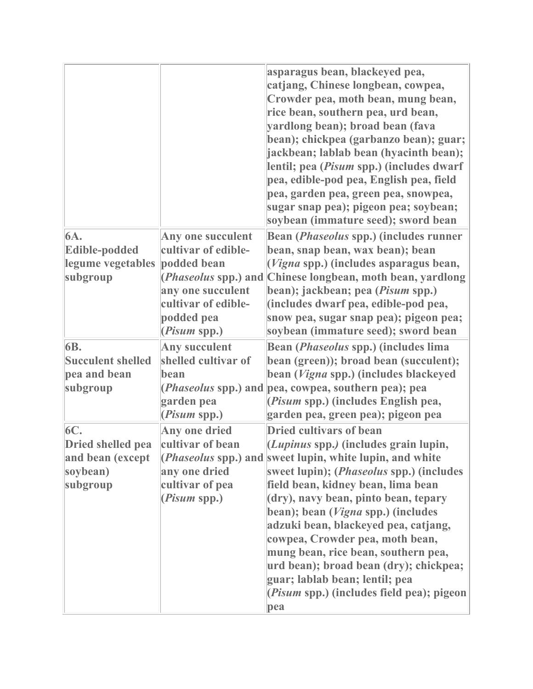|                                                                      |                                                                                                                                     | asparagus bean, blackeyed pea,<br>catjang, Chinese longbean, cowpea,<br>Crowder pea, moth bean, mung bean,<br>rice bean, southern pea, urd bean,<br>yardlong bean); broad bean (fava<br>bean); chickpea (garbanzo bean); guar;<br>jackbean; lablab bean (hyacinth bean);<br>lentil; pea (Pisum spp.) (includes dwarf<br>pea, edible-pod pea, English pea, field<br>pea, garden pea, green pea, snowpea,<br>sugar snap pea); pigeon pea; soybean;<br>soybean (immature seed); sword bean                                                                                       |
|----------------------------------------------------------------------|-------------------------------------------------------------------------------------------------------------------------------------|-------------------------------------------------------------------------------------------------------------------------------------------------------------------------------------------------------------------------------------------------------------------------------------------------------------------------------------------------------------------------------------------------------------------------------------------------------------------------------------------------------------------------------------------------------------------------------|
| 6A.<br>Edible-podded<br>legume vegetables<br>subgroup                | Any one succulent<br>cultivar of edible-<br>podded bean<br>any one succulent<br>cultivar of edible-<br>podded pea<br>$(Pisum$ spp.) | Bean ( <i>Phaseolus</i> spp.) (includes runner<br>bean, snap bean, wax bean); bean<br>$(Vigna$ spp.) (includes asparagus bean,<br>( <i>Phaseolus</i> spp.) and Chinese longbean, moth bean, yardlong<br>bean); jackbean; pea (Pisum spp.)<br>(includes dwarf pea, edible-pod pea,<br>snow pea, sugar snap pea); pigeon pea;<br>soybean (immature seed); sword bean                                                                                                                                                                                                            |
| 6B.<br><b>Succulent shelled</b><br>pea and bean<br>subgroup          | <b>Any succulent</b><br>shelled cultivar of<br>bean<br>garden pea<br>$(Pisum$ spp.)                                                 | Bean ( <i>Phaseolus</i> spp.) (includes lima<br>bean (green)); broad bean (succulent);<br>bean (Vigna spp.) (includes blackeyed<br>( <i>Phaseolus</i> spp.) and pea, cowpea, southern pea); pea<br>(Pisum spp.) (includes English pea,<br>garden pea, green pea); pigeon pea                                                                                                                                                                                                                                                                                                  |
| 6C.<br>Dried shelled pea<br>and bean (except<br>soybean)<br>subgroup | Any one dried<br>cultivar of bean<br>any one dried<br>cultivar of pea<br>( <i>Pisum</i> spp.)                                       | <b>Dried cultivars of bean</b><br>(Lupinus spp.) (includes grain lupin,<br>( <i>Phaseolus</i> spp.) and sweet lupin, white lupin, and white<br>sweet lupin); ( <i>Phaseolus</i> spp.) (includes<br>field bean, kidney bean, lima bean<br>(dry), navy bean, pinto bean, tepary<br>bean); bean (Vigna spp.) (includes<br>adzuki bean, blackeyed pea, catjang,<br>cowpea, Crowder pea, moth bean,<br>mung bean, rice bean, southern pea,<br>urd bean); broad bean (dry); chickpea;<br>guar; lablab bean; lentil; pea<br>( <i>Pisum</i> spp.) (includes field pea); pigeon<br>pea |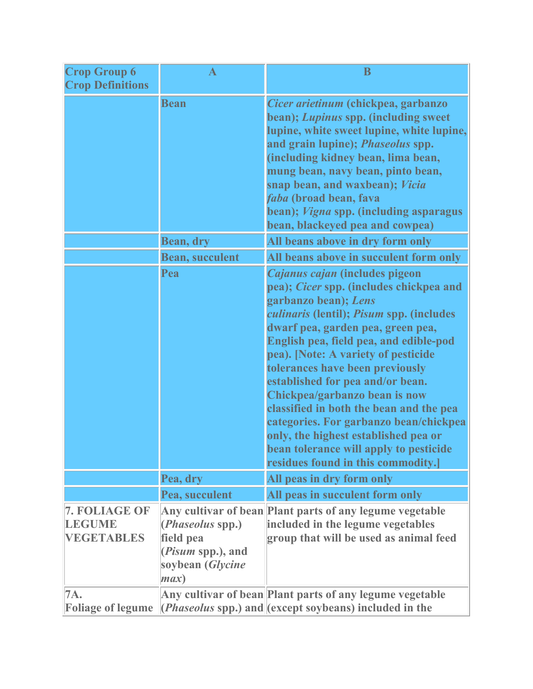| <b>Crop Group 6</b><br><b>Crop Definitions</b>      | $\bf A$                                                                                                | $\bf{B}$                                                                                                                                                                                                                                                                                                                                                                                                                                                                                                                                                                                 |
|-----------------------------------------------------|--------------------------------------------------------------------------------------------------------|------------------------------------------------------------------------------------------------------------------------------------------------------------------------------------------------------------------------------------------------------------------------------------------------------------------------------------------------------------------------------------------------------------------------------------------------------------------------------------------------------------------------------------------------------------------------------------------|
|                                                     | <b>Bean</b>                                                                                            | Cicer arietinum (chickpea, garbanzo<br>bean); Lupinus spp. (including sweet<br>lupine, white sweet lupine, white lupine,<br>and grain lupine); <i>Phaseolus</i> spp.<br>(including kidney bean, lima bean,<br>mung bean, navy bean, pinto bean,<br>snap bean, and waxbean); Vicia<br>faba (broad bean, fava<br>bean); Vigna spp. (including asparagus<br>bean, blackeyed pea and cowpea)                                                                                                                                                                                                 |
|                                                     | <b>Bean, dry</b>                                                                                       | All beans above in dry form only                                                                                                                                                                                                                                                                                                                                                                                                                                                                                                                                                         |
|                                                     | <b>Bean, succulent</b>                                                                                 | All beans above in succulent form only                                                                                                                                                                                                                                                                                                                                                                                                                                                                                                                                                   |
|                                                     | Pea                                                                                                    | Cajanus cajan (includes pigeon<br>pea); Cicer spp. (includes chickpea and<br>garbanzo bean); Lens<br>culinaris (lentil); Pisum spp. (includes<br>dwarf pea, garden pea, green pea,<br>English pea, field pea, and edible-pod<br>pea). [Note: A variety of pesticide<br>tolerances have been previously<br>established for pea and/or bean.<br>Chickpea/garbanzo bean is now<br>classified in both the bean and the pea<br>categories. For garbanzo bean/chickpea<br>only, the highest established pea or<br>bean tolerance will apply to pesticide<br>residues found in this commodity.] |
|                                                     | Pea, dry                                                                                               | All peas in dry form only                                                                                                                                                                                                                                                                                                                                                                                                                                                                                                                                                                |
|                                                     | Pea, succulent                                                                                         | All peas in succulent form only                                                                                                                                                                                                                                                                                                                                                                                                                                                                                                                                                          |
| 7. FOLIAGE OF<br><b>LEGUME</b><br><b>VEGETABLES</b> | ( <i>Phaseolus</i> spp.)<br>field pea<br>( <i>Pisum</i> spp.), and<br>soybean ( <i>Glycine</i><br>max) | Any cultivar of bean Plant parts of any legume vegetable<br>included in the legume vegetables<br>group that will be used as animal feed                                                                                                                                                                                                                                                                                                                                                                                                                                                  |
| 7A.<br><b>Foliage of legume</b>                     |                                                                                                        | Any cultivar of bean Plant parts of any legume vegetable<br>$\langle$ <i>(Phaseolus spp.)</i> and $\langle$ except soybeans) included in the                                                                                                                                                                                                                                                                                                                                                                                                                                             |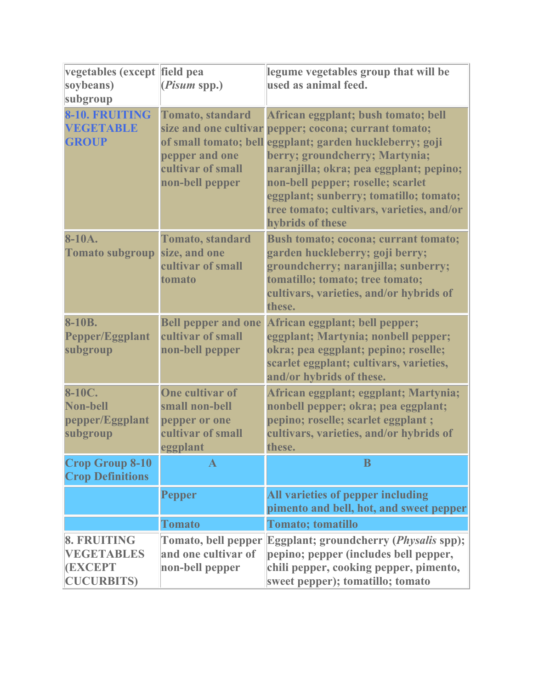| vegetables (except field pea<br>soybeans)<br>subgroup                  | $(Pisum$ spp.)                                                                             | legume vegetables group that will be<br>used as animal feed.                                                                                                                                                                                                                                                                                                                          |
|------------------------------------------------------------------------|--------------------------------------------------------------------------------------------|---------------------------------------------------------------------------------------------------------------------------------------------------------------------------------------------------------------------------------------------------------------------------------------------------------------------------------------------------------------------------------------|
| 8-10. FRUITING<br><b>VEGETABLE</b><br><b>GROUP</b>                     | <b>Tomato</b> , standard<br>pepper and one<br>cultivar of small<br>non-bell pepper         | African eggplant; bush tomato; bell<br>size and one cultivar pepper; cocona; currant tomato;<br>of small tomato; bell eggplant; garden huckleberry; goji<br>berry; groundcherry; Martynia;<br>naranjilla; okra; pea eggplant; pepino;<br>non-bell pepper; roselle; scarlet<br>eggplant; sunberry; tomatillo; tomato;<br>tree tomato; cultivars, varieties, and/or<br>hybrids of these |
| 8-10A.<br><b>Tomato subgroup</b>                                       | <b>Tomato</b> , standard<br>size, and one<br>cultivar of small<br>tomato                   | <b>Bush tomato; cocona; currant tomato;</b><br>garden huckleberry; goji berry;<br>groundcherry; naranjilla; sunberry;<br>tomatillo; tomato; tree tomato;<br>cultivars, varieties, and/or hybrids of<br>these.                                                                                                                                                                         |
| 8-10B.<br>Pepper/Eggplant<br>subgroup                                  | <b>Bell pepper and one</b><br>cultivar of small<br>non-bell pepper                         | African eggplant; bell pepper;<br>eggplant; Martynia; nonbell pepper;<br>okra; pea eggplant; pepino; roselle;<br>scarlet eggplant; cultivars, varieties,<br>and/or hybrids of these.                                                                                                                                                                                                  |
| 8-10C.<br>Non-bell<br>pepper/Eggplant<br>subgroup                      | <b>One cultivar of</b><br>small non-bell<br>pepper or one<br>cultivar of small<br>eggplant | African eggplant; eggplant; Martynia;<br>nonbell pepper; okra; pea eggplant;<br>pepino; roselle; scarlet eggplant;<br>cultivars, varieties, and/or hybrids of<br>these.                                                                                                                                                                                                               |
| <b>Crop Group 8-10</b><br><b>Crop Definitions</b>                      | $\mathbf{A}$                                                                               | B                                                                                                                                                                                                                                                                                                                                                                                     |
|                                                                        | <b>Pepper</b>                                                                              | All varieties of pepper including<br>pimento and bell, hot, and sweet pepper                                                                                                                                                                                                                                                                                                          |
|                                                                        | <b>Tomato</b>                                                                              | <b>Tomato</b> ; tomatillo                                                                                                                                                                                                                                                                                                                                                             |
| 8. FRUITING<br><b>VEGETABLES</b><br><b>(EXCEPT</b><br><b>CUCURBITS</b> | <b>Tomato, bell pepper</b><br>and one cultivar of<br>non-bell pepper                       | <b>Eggplant; groundcherry (Physalis spp);</b><br>pepino; pepper (includes bell pepper,<br>chili pepper, cooking pepper, pimento,<br>sweet pepper); tomatillo; tomato                                                                                                                                                                                                                  |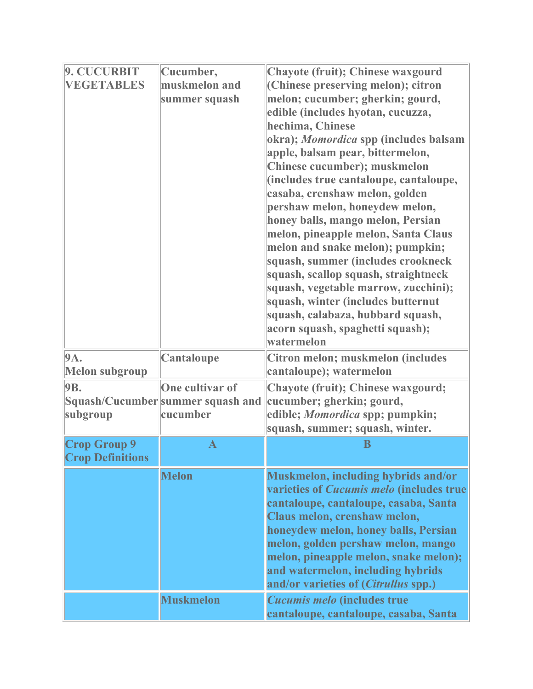| 9. CUCURBIT             | Cucumber,                         | Chayote (fruit); Chinese waxgourd               |
|-------------------------|-----------------------------------|-------------------------------------------------|
| <b>VEGETABLES</b>       | muskmelon and                     | (Chinese preserving melon); citron              |
|                         | summer squash                     | melon; cucumber; gherkin; gourd,                |
|                         |                                   | edible (includes hyotan, cucuzza,               |
|                         |                                   | hechima, Chinese                                |
|                         |                                   | okra); Momordica spp (includes balsam           |
|                         |                                   | apple, balsam pear, bittermelon,                |
|                         |                                   | Chinese cucumber); muskmelon                    |
|                         |                                   | (includes true cantaloupe, cantaloupe,          |
|                         |                                   | casaba, crenshaw melon, golden                  |
|                         |                                   | pershaw melon, honeydew melon,                  |
|                         |                                   | honey balls, mango melon, Persian               |
|                         |                                   | melon, pineapple melon, Santa Claus             |
|                         |                                   | melon and snake melon); pumpkin;                |
|                         |                                   | squash, summer (includes crookneck              |
|                         |                                   | squash, scallop squash, straightneck            |
|                         |                                   | squash, vegetable marrow, zucchini);            |
|                         |                                   | squash, winter (includes butternut              |
|                         |                                   | squash, calabaza, hubbard squash,               |
|                         |                                   | acorn squash, spaghetti squash);<br>watermelon  |
|                         |                                   |                                                 |
| 9A.                     | Cantaloupe                        | Citron melon; muskmelon (includes               |
| <b>Melon subgroup</b>   |                                   | cantaloupe); watermelon                         |
| <b>9B.</b>              | <b>One cultivar of</b>            | Chayote (fruit); Chinese waxgourd;              |
|                         | Squash/Cucumber summer squash and | cucumber; gherkin; gourd,                       |
| subgroup                | cucumber                          | edible; Momordica spp; pumpkin;                 |
|                         |                                   | squash, summer; squash, winter.                 |
| <b>Crop Group 9</b>     | $\mathbf{A}$                      | B                                               |
| <b>Crop Definitions</b> |                                   |                                                 |
|                         | <b>Melon</b>                      | Muskmelon, including hybrids and/or             |
|                         |                                   | varieties of <i>Cucumis melo</i> (includes true |
|                         |                                   | cantaloupe, cantaloupe, casaba, Santa           |
|                         |                                   | Claus melon, crenshaw melon,                    |
|                         |                                   | honeydew melon, honey balls, Persian            |
|                         |                                   | melon, golden pershaw melon, mango              |
|                         |                                   | melon, pineapple melon, snake melon);           |
|                         |                                   | and watermelon, including hybrids               |
|                         |                                   | and/or varieties of ( <i>Citrullus</i> spp.)    |
|                         | <b>Muskmelon</b>                  | Cucumis melo (includes true                     |
|                         |                                   | cantaloupe, cantaloupe, casaba, Santa           |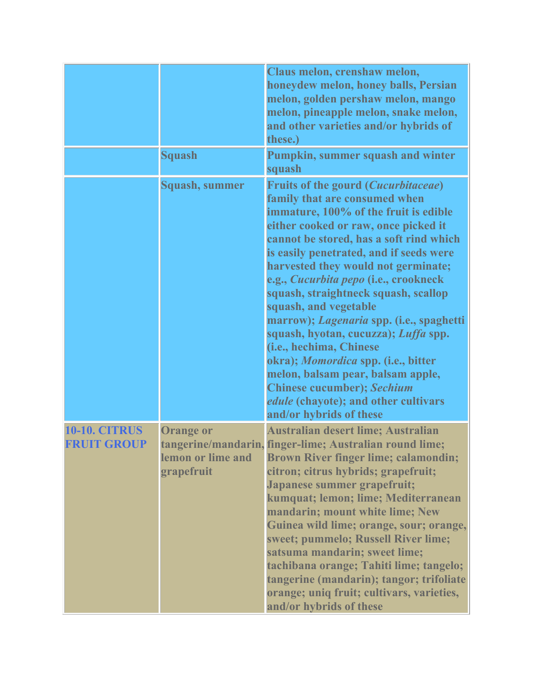|                                            |                                                     | Claus melon, crenshaw melon,<br>honeydew melon, honey balls, Persian<br>melon, golden pershaw melon, mango<br>melon, pineapple melon, snake melon,<br>and other varieties and/or hybrids of<br>these.)                                                                                                                                                                                                                                                                                                                                                                                                                                                                                                               |
|--------------------------------------------|-----------------------------------------------------|----------------------------------------------------------------------------------------------------------------------------------------------------------------------------------------------------------------------------------------------------------------------------------------------------------------------------------------------------------------------------------------------------------------------------------------------------------------------------------------------------------------------------------------------------------------------------------------------------------------------------------------------------------------------------------------------------------------------|
|                                            | <b>Squash</b>                                       | Pumpkin, summer squash and winter<br>squash                                                                                                                                                                                                                                                                                                                                                                                                                                                                                                                                                                                                                                                                          |
|                                            | <b>Squash, summer</b>                               | <b>Fruits of the gourd (Cucurbitaceae)</b><br>family that are consumed when<br>immature, 100% of the fruit is edible<br>either cooked or raw, once picked it<br>cannot be stored, has a soft rind which<br>is easily penetrated, and if seeds were<br>harvested they would not germinate;<br>e.g., Cucurbita pepo (i.e., crookneck<br>squash, straightneck squash, scallop<br>squash, and vegetable<br>marrow); Lagenaria spp. (i.e., spaghetti<br>squash, hyotan, cucuzza); Luffa spp.<br>(i.e., hechima, Chinese<br>okra); <i>Momordica</i> spp. (i.e., bitter<br>melon, balsam pear, balsam apple,<br><b>Chinese cucumber); Sechium</b><br><i>edule</i> (chayote); and other cultivars<br>and/or hybrids of these |
| <b>10-10. CITRUS</b><br><b>FRUIT GROUP</b> | <b>Orange or</b><br>lemon or lime and<br>grapefruit | Australian desert lime; Australian<br>tangerine/mandarin, finger-lime; Australian round lime;<br><b>Brown River finger lime; calamondin;</b><br>citron; citrus hybrids; grapefruit;<br>Japanese summer grapefruit;<br>kumquat; lemon; lime; Mediterranean<br>mandarin; mount white lime; New<br>Guinea wild lime; orange, sour; orange,<br>sweet; pummelo; Russell River lime;<br>satsuma mandarin; sweet lime;<br>tachibana orange; Tahiti lime; tangelo;<br>tangerine (mandarin); tangor; trifoliate<br>orange; uniq fruit; cultivars, varieties,<br>and/or hybrids of these                                                                                                                                       |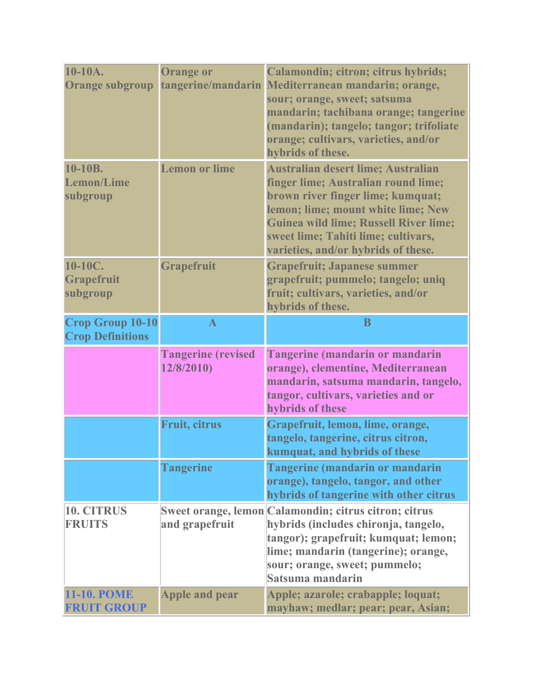| 10-10A.<br><b>Orange subgroup</b>                  | <b>Orange or</b>                        | Calamondin; citron; citrus hybrids;<br>tangerine/mandarin Mediterranean mandarin; orange,<br>sour; orange, sweet; satsuma<br>mandarin; tachibana orange; tangerine<br>(mandarin); tangelo; tangor; trifoliate<br>orange; cultivars, varieties, and/or<br>hybrids of these.         |
|----------------------------------------------------|-----------------------------------------|------------------------------------------------------------------------------------------------------------------------------------------------------------------------------------------------------------------------------------------------------------------------------------|
| 10-10B.<br><b>Lemon/Lime</b><br>subgroup           | <b>Lemon or lime</b>                    | Australian desert lime; Australian<br>finger lime; Australian round lime;<br>brown river finger lime; kumquat;<br>lemon; lime; mount white lime; New<br><b>Guinea wild lime; Russell River lime;</b><br>sweet lime; Tahiti lime; cultivars,<br>varieties, and/or hybrids of these. |
| $10-10C$ .<br><b>Grapefruit</b><br>subgroup        | Grapefruit                              | <b>Grapefruit; Japanese summer</b><br>grapefruit; pummelo; tangelo; uniq<br>fruit; cultivars, varieties, and/or<br>hybrids of these.                                                                                                                                               |
| <b>Crop Group 10-10</b><br><b>Crop Definitions</b> | $\mathbf{A}$                            | B                                                                                                                                                                                                                                                                                  |
|                                                    | <b>Tangerine (revised</b><br>12/8/2010) | <b>Tangerine (mandarin or mandarin</b><br>orange), clementine, Mediterranean<br>mandarin, satsuma mandarin, tangelo,<br>tangor, cultivars, varieties and or<br>hybrids of these                                                                                                    |
|                                                    | <b>Fruit, citrus</b>                    | Grapefruit, lemon, lime, orange,<br>tangelo, tangerine, citrus citron,<br>kumquat, and hybrids of these                                                                                                                                                                            |
|                                                    | <b>Tangerine</b>                        | <b>Tangerine (mandarin or mandarin</b><br>orange), tangelo, tangor, and other<br>hybrids of tangerine with other citrus                                                                                                                                                            |
| 10. CITRUS<br><b>FRUITS</b>                        | and grapefruit                          | Sweet orange, lemon Calamondin; citrus citron; citrus<br>hybrids (includes chironja, tangelo,<br>tangor); grapefruit; kumquat; lemon;<br>lime; mandarin (tangerine); orange,                                                                                                       |
|                                                    |                                         | sour; orange, sweet; pummelo;<br>Satsuma mandarin                                                                                                                                                                                                                                  |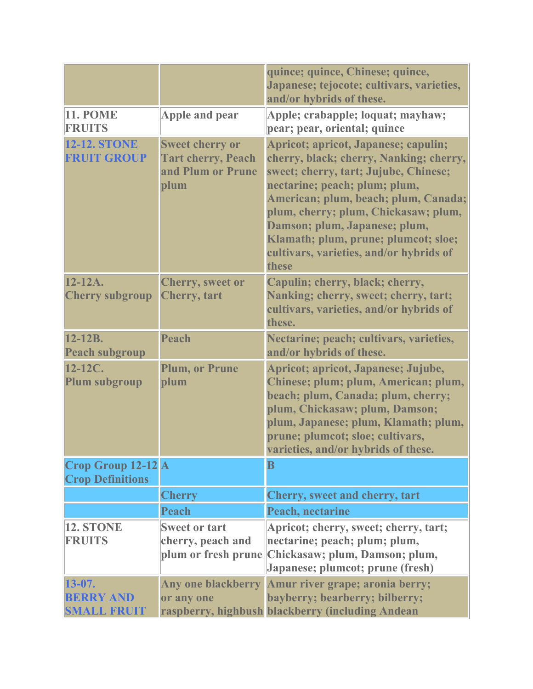|                                                      |                                                                                  | quince; quince, Chinese; quince,<br>Japanese; tejocote; cultivars, varieties,<br>and/or hybrids of these.                                                                                                                                                                                                                                                              |
|------------------------------------------------------|----------------------------------------------------------------------------------|------------------------------------------------------------------------------------------------------------------------------------------------------------------------------------------------------------------------------------------------------------------------------------------------------------------------------------------------------------------------|
| <b>11. POME</b><br><b>FRUITS</b>                     | Apple and pear                                                                   | Apple; crabapple; loquat; mayhaw;<br>pear; pear, oriental; quince                                                                                                                                                                                                                                                                                                      |
| <b>12-12. STONE</b><br><b>FRUIT GROUP</b>            | <b>Sweet cherry or</b><br><b>Tart cherry, Peach</b><br>and Plum or Prune<br>plum | Apricot; apricot, Japanese; capulin;<br>cherry, black; cherry, Nanking; cherry,<br>sweet; cherry, tart; Jujube, Chinese;<br>nectarine; peach; plum; plum,<br>American; plum, beach; plum, Canada;<br>plum, cherry; plum, Chickasaw; plum,<br>Damson; plum, Japanese; plum,<br>Klamath; plum, prune; plumcot; sloe;<br>cultivars, varieties, and/or hybrids of<br>these |
| $12 - 12A$ .<br><b>Cherry subgroup</b>               | <b>Cherry, sweet or</b><br><b>Cherry</b> , tart                                  | Capulin; cherry, black; cherry,<br>Nanking; cherry, sweet; cherry, tart;<br>cultivars, varieties, and/or hybrids of<br>these.                                                                                                                                                                                                                                          |
| $12 - 12B$ .<br><b>Peach subgroup</b>                | Peach                                                                            | Nectarine; peach; cultivars, varieties,<br>and/or hybrids of these.                                                                                                                                                                                                                                                                                                    |
| $12-12C$ .<br><b>Plum subgroup</b>                   | <b>Plum, or Prune</b><br>plum                                                    | Apricot; apricot, Japanese; Jujube,<br>Chinese; plum; plum, American; plum,<br>beach; plum, Canada; plum, cherry;<br>plum, Chickasaw; plum, Damson;<br>plum, Japanese; plum, Klamath; plum,<br>prune; plumcot; sloe; cultivars,<br>varieties, and/or hybrids of these.                                                                                                 |
| Crop Group 12-12 A<br><b>Crop Definitions</b>        |                                                                                  | $\bf{B}$                                                                                                                                                                                                                                                                                                                                                               |
|                                                      | <b>Cherry</b>                                                                    | Cherry, sweet and cherry, tart                                                                                                                                                                                                                                                                                                                                         |
|                                                      | Peach                                                                            | Peach, nectarine                                                                                                                                                                                                                                                                                                                                                       |
| <b>12. STONE</b><br><b>FRUITS</b>                    | <b>Sweet or tart</b><br>cherry, peach and<br>plum or fresh prune                 | Apricot; cherry, sweet; cherry, tart;<br>nectarine; peach; plum; plum,<br>Chickasaw; plum, Damson; plum,<br>Japanese; plumcot; prune (fresh)                                                                                                                                                                                                                           |
| $13 - 07.$<br><b>BERRY AND</b><br><b>SMALL FRUIT</b> | <b>Any one blackberry</b><br>or any one                                          | Amur river grape; aronia berry;<br>bayberry; bearberry; bilberry;<br>raspberry, highbush blackberry (including Andean                                                                                                                                                                                                                                                  |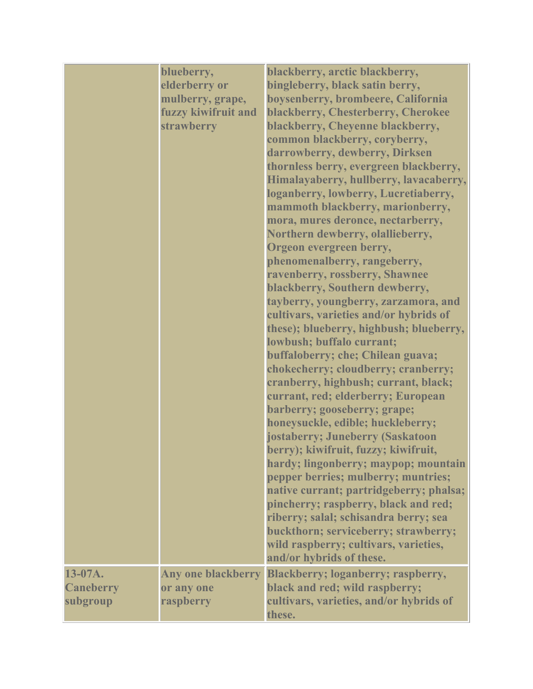|                                         | blueberry,<br>elderberry or<br>mulberry, grape,<br>fuzzy kiwifruit and<br>strawberry | blackberry, arctic blackberry,<br>bingleberry, black satin berry,<br>boysenberry, brombeere, California<br>blackberry, Chesterberry, Cherokee<br>blackberry, Cheyenne blackberry,<br>common blackberry, coryberry,<br>darrowberry, dewberry, Dirksen<br>thornless berry, evergreen blackberry,<br>Himalayaberry, hullberry, lavacaberry,<br>loganberry, lowberry, Lucretiaberry,<br>mammoth blackberry, marionberry,<br>mora, mures deronce, nectarberry,<br>Northern dewberry, olallieberry,<br>Orgeon evergreen berry,<br>phenomenalberry, rangeberry,<br>ravenberry, rossberry, Shawnee<br>blackberry, Southern dewberry,<br>tayberry, youngberry, zarzamora, and<br>cultivars, varieties and/or hybrids of<br>these); blueberry, highbush; blueberry,<br>lowbush; buffalo currant;<br>buffaloberry; che; Chilean guava;<br>chokecherry; cloudberry; cranberry;<br>cranberry, highbush; currant, black;<br>currant, red; elderberry; European<br>barberry; gooseberry; grape;<br>honeysuckle, edible; huckleberry;<br>jostaberry; Juneberry (Saskatoon<br>berry); kiwifruit, fuzzy; kiwifruit,<br>hardy; lingonberry; maypop; mountain<br>pepper berries; mulberry; muntries;<br>native currant; partridgeberry; phalsa;<br>pincherry; raspberry, black and red;<br>riberry; salal; schisandra berry; sea<br>buckthorn; serviceberry; strawberry;<br>wild raspberry; cultivars, varieties,<br>and/or hybrids of these. |
|-----------------------------------------|--------------------------------------------------------------------------------------|---------------------------------------------------------------------------------------------------------------------------------------------------------------------------------------------------------------------------------------------------------------------------------------------------------------------------------------------------------------------------------------------------------------------------------------------------------------------------------------------------------------------------------------------------------------------------------------------------------------------------------------------------------------------------------------------------------------------------------------------------------------------------------------------------------------------------------------------------------------------------------------------------------------------------------------------------------------------------------------------------------------------------------------------------------------------------------------------------------------------------------------------------------------------------------------------------------------------------------------------------------------------------------------------------------------------------------------------------------------------------------------------------------------------------|
| 13-07A.<br><b>Caneberry</b><br>subgroup | or any one<br>raspberry                                                              | Any one blackberry Blackberry; loganberry; raspberry,<br>black and red; wild raspberry;<br>cultivars, varieties, and/or hybrids of<br>these.                                                                                                                                                                                                                                                                                                                                                                                                                                                                                                                                                                                                                                                                                                                                                                                                                                                                                                                                                                                                                                                                                                                                                                                                                                                                              |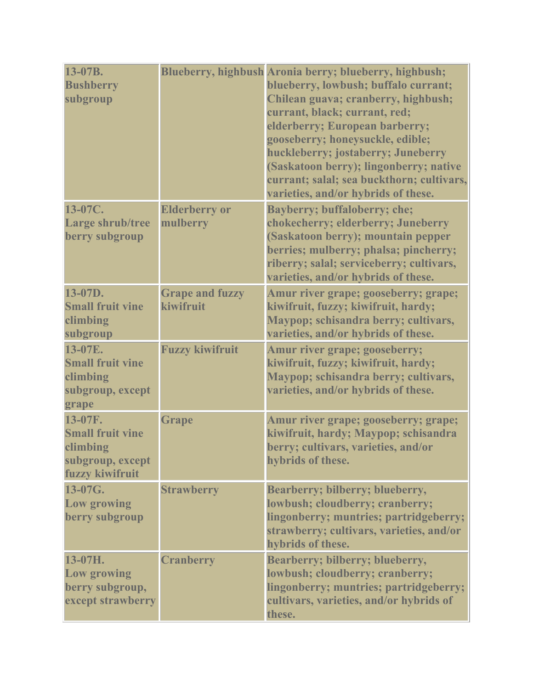| 13-07B.<br><b>Bushberry</b><br>subgroup                                               |                                     | Blueberry, highbush Aronia berry; blueberry, highbush;<br>blueberry, lowbush; buffalo currant;<br>Chilean guava; cranberry, highbush;<br>currant, black; currant, red;<br>elderberry; European barberry;<br>gooseberry; honeysuckle, edible;<br>huckleberry; jostaberry; Juneberry<br>(Saskatoon berry); lingonberry; native<br>currant; salal; sea buckthorn; cultivars,<br>varieties, and/or hybrids of these. |
|---------------------------------------------------------------------------------------|-------------------------------------|------------------------------------------------------------------------------------------------------------------------------------------------------------------------------------------------------------------------------------------------------------------------------------------------------------------------------------------------------------------------------------------------------------------|
| 13-07C.<br>Large shrub/tree<br>berry subgroup                                         | <b>Elderberry or</b><br>mulberry    | <b>Bayberry; buffaloberry; che;</b><br>chokecherry; elderberry; Juneberry<br>(Saskatoon berry); mountain pepper<br>berries; mulberry; phalsa; pincherry;<br>riberry; salal; serviceberry; cultivars,<br>varieties, and/or hybrids of these.                                                                                                                                                                      |
| 13-07D.<br><b>Small fruit vine</b><br>climbing<br>subgroup                            | <b>Grape and fuzzy</b><br>kiwifruit | Amur river grape; gooseberry; grape;<br>kiwifruit, fuzzy; kiwifruit, hardy;<br>Maypop; schisandra berry; cultivars,<br>varieties, and/or hybrids of these.                                                                                                                                                                                                                                                       |
| 13-07E.<br><b>Small fruit vine</b><br>climbing<br>subgroup, except<br>grape           | <b>Fuzzy kiwifruit</b>              | Amur river grape; gooseberry;<br>kiwifruit, fuzzy; kiwifruit, hardy;<br>Maypop; schisandra berry; cultivars,<br>varieties, and/or hybrids of these.                                                                                                                                                                                                                                                              |
| 13-07F.<br><b>Small fruit vine</b><br>climbing<br>subgroup, except<br>fuzzy kiwifruit | <b>Grape</b>                        | Amur river grape; gooseberry; grape;<br>kiwifruit, hardy; Maypop; schisandra<br>berry; cultivars, varieties, and/or<br>hybrids of these.                                                                                                                                                                                                                                                                         |
| 13-07G.<br><b>Low growing</b><br>berry subgroup                                       | <b>Strawberry</b>                   | Bearberry; bilberry; blueberry,<br>lowbush; cloudberry; cranberry;<br>lingonberry; muntries; partridgeberry;<br>strawberry; cultivars, varieties, and/or<br>hybrids of these.                                                                                                                                                                                                                                    |
| 13-07H.<br><b>Low growing</b><br>berry subgroup,<br>except strawberry                 | <b>Cranberry</b>                    | Bearberry; bilberry; blueberry,<br>lowbush; cloudberry; cranberry;<br>lingonberry; muntries; partridgeberry;<br>cultivars, varieties, and/or hybrids of<br>these.                                                                                                                                                                                                                                                |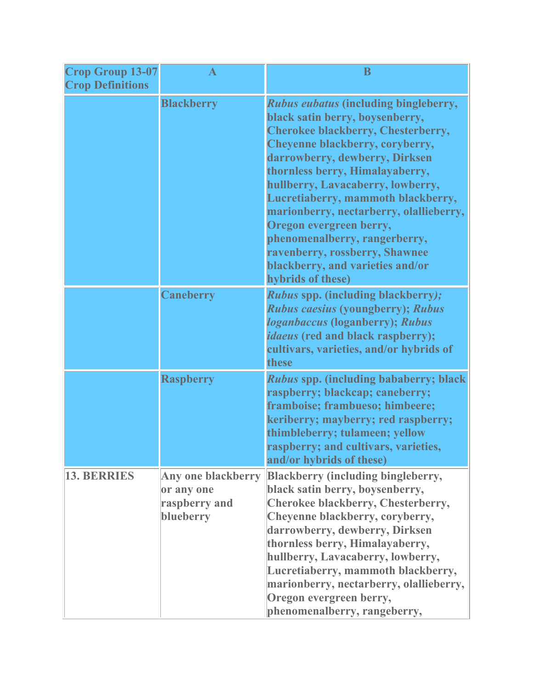| <b>Crop Group 13-07</b><br><b>Crop Definitions</b> |                                                                       | $\bf{B}$                                                                                                                                                                                                                                                                                                                                                                                                                                                                                                          |
|----------------------------------------------------|-----------------------------------------------------------------------|-------------------------------------------------------------------------------------------------------------------------------------------------------------------------------------------------------------------------------------------------------------------------------------------------------------------------------------------------------------------------------------------------------------------------------------------------------------------------------------------------------------------|
|                                                    | <b>Blackberry</b>                                                     | <b>Rubus eubatus (including bingleberry,</b><br>black satin berry, boysenberry,<br><b>Cherokee blackberry, Chesterberry,</b><br>Cheyenne blackberry, coryberry,<br>darrowberry, dewberry, Dirksen<br>thornless berry, Himalayaberry,<br>hullberry, Lavacaberry, lowberry,<br>Lucretiaberry, mammoth blackberry,<br>marionberry, nectarberry, olallieberry,<br>Oregon evergreen berry,<br>phenomenalberry, rangerberry,<br>ravenberry, rossberry, Shawnee<br>blackberry, and varieties and/or<br>hybrids of these) |
|                                                    | <b>Caneberry</b>                                                      | <b>Rubus spp. (including blackberry);</b><br><b>Rubus caesius (youngberry); Rubus</b><br><i><b>loganbaccus (loganberry); Rubus</b></i><br><i>idaeus</i> (red and black raspberry);<br>cultivars, varieties, and/or hybrids of<br>these                                                                                                                                                                                                                                                                            |
|                                                    | <b>Raspberry</b>                                                      | <i>Rubus</i> spp. (including bababerry; black<br>raspberry; blackcap; caneberry;<br>framboise; frambueso; himbeere;<br>keriberry; mayberry; red raspberry;<br>thimbleberry; tulameen; yellow<br>raspberry; and cultivars, varieties,<br>and/or hybrids of these)                                                                                                                                                                                                                                                  |
| <b>13. BERRIES</b>                                 | <b>Any one blackberry</b><br>or any one<br>raspberry and<br>blueberry | <b>Blackberry (including bingleberry,</b><br>black satin berry, boysenberry,<br>Cherokee blackberry, Chesterberry,<br>Cheyenne blackberry, coryberry,<br>darrowberry, dewberry, Dirksen<br>thornless berry, Himalayaberry,<br>hullberry, Lavacaberry, lowberry,<br>Lucretiaberry, mammoth blackberry,<br>marionberry, nectarberry, olallieberry,<br>Oregon evergreen berry,<br>phenomenalberry, rangeberry,                                                                                                       |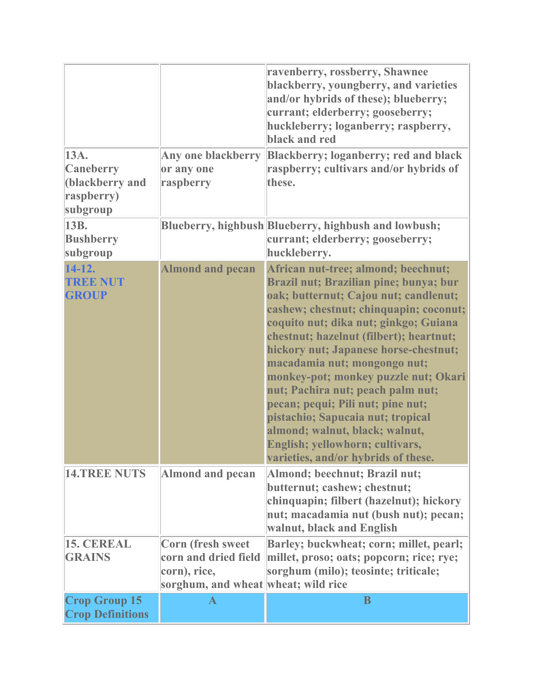| 13A.<br><b>Caneberry</b><br>(blackberry and<br>raspberry)<br>subgroup | Any one blackberry<br>or any one<br>raspberry                                                    | ravenberry, rossberry, Shawnee<br>blackberry, youngberry, and varieties<br>and/or hybrids of these); blueberry;<br>currant; elderberry; gooseberry;<br>huckleberry; loganberry; raspberry,<br>black and red<br><b>Blackberry; loganberry; red and black</b><br>raspberry; cultivars and/or hybrids of<br>these.                                                                                                                                                                                                                                                                                  |
|-----------------------------------------------------------------------|--------------------------------------------------------------------------------------------------|--------------------------------------------------------------------------------------------------------------------------------------------------------------------------------------------------------------------------------------------------------------------------------------------------------------------------------------------------------------------------------------------------------------------------------------------------------------------------------------------------------------------------------------------------------------------------------------------------|
| 13B.<br><b>Bushberry</b><br>subgroup                                  |                                                                                                  | Blueberry, highbush Blueberry, highbush and lowbush;<br>currant; elderberry; gooseberry;<br>huckleberry.                                                                                                                                                                                                                                                                                                                                                                                                                                                                                         |
| $14-12.$<br><b>TREE NUT</b><br><b>GROUP</b>                           | <b>Almond and pecan</b>                                                                          | African nut-tree; almond; beechnut;<br>Brazil nut; Brazilian pine; bunya; bur<br>oak; butternut; Cajou nut; candlenut;<br>cashew; chestnut; chinquapin; coconut;<br>coquito nut; dika nut; ginkgo; Guiana<br>chestnut; hazelnut (filbert); heartnut;<br>hickory nut; Japanese horse-chestnut;<br>macadamia nut; mongongo nut;<br>monkey-pot; monkey puzzle nut; Okari<br>nut; Pachira nut; peach palm nut;<br>pecan; pequi; Pili nut; pine nut;<br>pistachio; Sapucaia nut; tropical<br>almond; walnut, black; walnut,<br>English; yellowhorn; cultivars,<br>varieties, and/or hybrids of these. |
| <b>14.TREE NUTS</b>                                                   | <b>Almond and pecan</b>                                                                          | Almond; beechnut; Brazil nut;<br>butternut; cashew; chestnut;<br>chinquapin; filbert (hazelnut); hickory<br>nut; macadamia nut (bush nut); pecan;<br>walnut, black and English                                                                                                                                                                                                                                                                                                                                                                                                                   |
| <b>15. CEREAL</b><br><b>GRAINS</b>                                    | Corn (fresh sweet<br>corn and dried field<br>corn), rice,<br>sorghum, and wheat wheat; wild rice | Barley; buckwheat; corn; millet, pearl;<br>millet, proso; oats; popcorn; rice; rye;<br>sorghum (milo); teosinte; triticale;                                                                                                                                                                                                                                                                                                                                                                                                                                                                      |
| <b>Crop Group 15</b><br><b>Crop Definitions</b>                       | $\mathbf{A}$                                                                                     | B                                                                                                                                                                                                                                                                                                                                                                                                                                                                                                                                                                                                |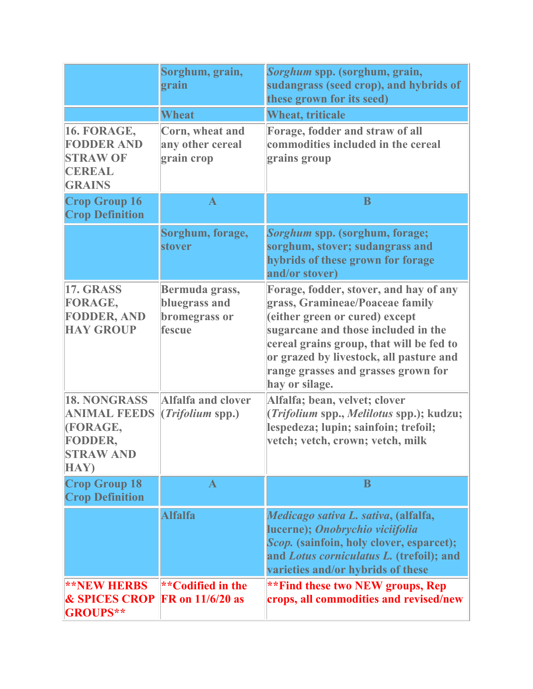|                                                                                               | Sorghum, grain,<br>grain                                   | Sorghum spp. (sorghum, grain,<br>sudangrass (seed crop), and hybrids of<br>these grown for its seed)                                                                                                                                                                                               |
|-----------------------------------------------------------------------------------------------|------------------------------------------------------------|----------------------------------------------------------------------------------------------------------------------------------------------------------------------------------------------------------------------------------------------------------------------------------------------------|
|                                                                                               | <b>Wheat</b>                                               | <b>Wheat, triticale</b>                                                                                                                                                                                                                                                                            |
| 16. FORAGE,<br><b>FODDER AND</b><br><b>STRAW OF</b><br><b>CEREAL</b><br><b>GRAINS</b>         | Corn, wheat and<br>any other cereal<br>grain crop          | Forage, fodder and straw of all<br>commodities included in the cereal<br>grains group                                                                                                                                                                                                              |
| <b>Crop Group 16</b><br><b>Crop Definition</b>                                                | $\mathbf A$                                                | B                                                                                                                                                                                                                                                                                                  |
|                                                                                               | Sorghum, forage,<br>stover                                 | Sorghum spp. (sorghum, forage;<br>sorghum, stover; sudangrass and<br>hybrids of these grown for forage<br>and/or stover)                                                                                                                                                                           |
| <b>17. GRASS</b><br>FORAGE,<br><b>FODDER, AND</b><br><b>HAY GROUP</b>                         | Bermuda grass,<br>bluegrass and<br>bromegrass or<br>fescue | Forage, fodder, stover, and hay of any<br>grass, Gramineae/Poaceae family<br>(either green or cured) except<br>sugarcane and those included in the<br>cereal grains group, that will be fed to<br>or grazed by livestock, all pasture and<br>range grasses and grasses grown for<br>hay or silage. |
| <b>18. NONGRASS</b><br><b>ANIMAL FEEDS</b><br>(FORAGE,<br>FODDER,<br><b>STRAW AND</b><br>HAY) | <b>Alfalfa and clover</b><br>( <i>Trifolium</i> spp.)      | Alfalfa; bean, velvet; clover<br>(Trifolium spp., Melilotus spp.); kudzu;<br>lespedeza; lupin; sainfoin; trefoil;<br>vetch; vetch, crown; vetch, milk                                                                                                                                              |
| <b>Crop Group 18</b><br><b>Crop Definition</b>                                                | $\mathbf{A}$                                               | B                                                                                                                                                                                                                                                                                                  |
|                                                                                               | <b>Alfalfa</b>                                             | Medicago sativa L. sativa, (alfalfa,<br>lucerne); Onobrychio viciifolia<br>Scop. (sainfoin, holy clover, esparcet);<br>and Lotus corniculatus L. (trefoil); and<br>varieties and/or hybrids of these                                                                                               |
| <b>**NEW HERBS</b><br><b>&amp; SPICES CROP</b><br><b>GROUPS**</b>                             | **Codified in the<br><b>FR</b> on 11/6/20 as               | **Find these two NEW groups, Rep<br>crops, all commodities and revised/new                                                                                                                                                                                                                         |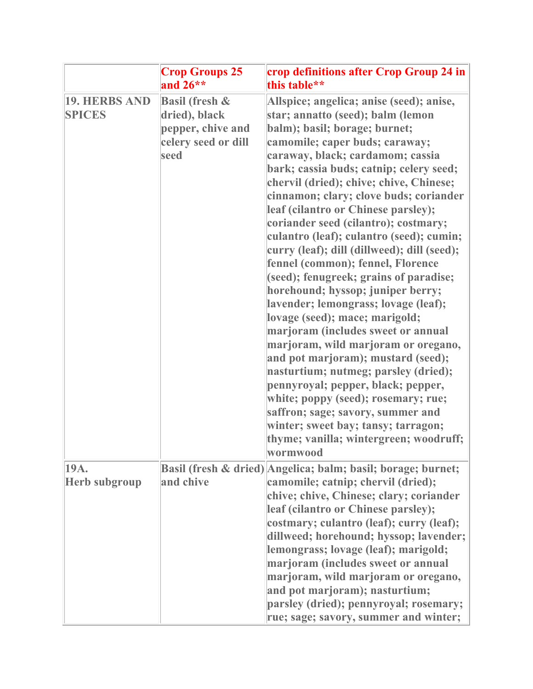|                                | <b>Crop Groups 25</b><br>and $26**$                                                            | crop definitions after Crop Group 24 in<br>this table**                                                                                                                                                                                                                                                                                                                                                                                                                                                                                                                                                                                                                                                                                                                                                                                                                                                                                                                                                                                                    |
|--------------------------------|------------------------------------------------------------------------------------------------|------------------------------------------------------------------------------------------------------------------------------------------------------------------------------------------------------------------------------------------------------------------------------------------------------------------------------------------------------------------------------------------------------------------------------------------------------------------------------------------------------------------------------------------------------------------------------------------------------------------------------------------------------------------------------------------------------------------------------------------------------------------------------------------------------------------------------------------------------------------------------------------------------------------------------------------------------------------------------------------------------------------------------------------------------------|
| 19. HERBS AND<br><b>SPICES</b> | <b>Basil (fresh &amp;</b><br>dried), black<br>pepper, chive and<br>celery seed or dill<br>seed | Allspice; angelica; anise (seed); anise,<br>star; annatto (seed); balm (lemon<br>balm); basil; borage; burnet;<br>camomile; caper buds; caraway;<br>caraway, black; cardamom; cassia<br>bark; cassia buds; catnip; celery seed;<br>chervil (dried); chive; chive, Chinese;<br>cinnamon; clary; clove buds; coriander<br>leaf (cilantro or Chinese parsley);<br>coriander seed (cilantro); costmary;<br>culantro (leaf); culantro (seed); cumin;<br>curry (leaf); dill (dillweed); dill (seed);<br>fennel (common); fennel, Florence<br>(seed); fenugreek; grains of paradise;<br>horehound; hyssop; juniper berry;<br>lavender; lemongrass; lovage (leaf);<br>lovage (seed); mace; marigold;<br>marjoram (includes sweet or annual<br>marjoram, wild marjoram or oregano,<br>and pot marjoram); mustard (seed);<br>nasturtium; nutmeg; parsley (dried);<br>pennyroyal; pepper, black; pepper,<br>white; poppy (seed); rosemary; rue;<br>saffron; sage; savory, summer and<br>winter; sweet bay; tansy; tarragon;<br>thyme; vanilla; wintergreen; woodruff; |
| 19A.<br><b>Herb subgroup</b>   | and chive                                                                                      | wormwood<br>Basil (fresh & dried) Angelica; balm; basil; borage; burnet;<br>camomile; catnip; chervil (dried);<br>chive; chive, Chinese; clary; coriander<br>leaf (cilantro or Chinese parsley);<br>costmary; culantro (leaf); curry (leaf);<br>dillweed; horehound; hyssop; lavender;<br>lemongrass; lovage (leaf); marigold;<br>marjoram (includes sweet or annual<br>marjoram, wild marjoram or oregano,<br>and pot marjoram); nasturtium;<br>parsley (dried); pennyroyal; rosemary;<br>rue; sage; savory, summer and winter;                                                                                                                                                                                                                                                                                                                                                                                                                                                                                                                           |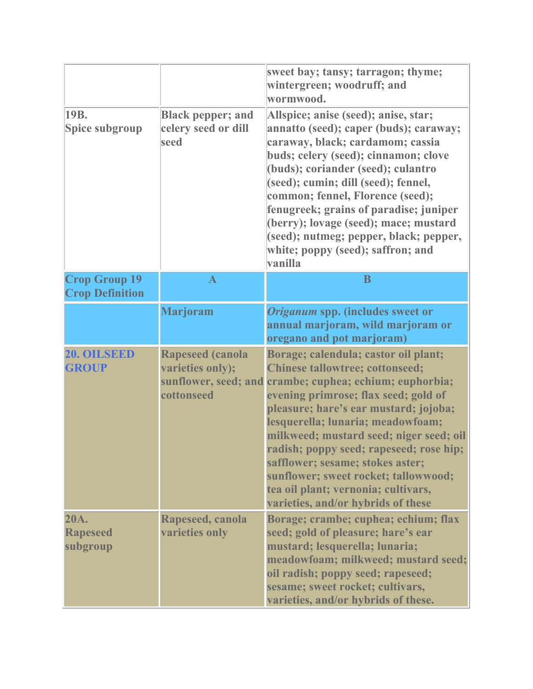|                                                |                                                                                   | sweet bay; tansy; tarragon; thyme;<br>wintergreen; woodruff; and<br>wormwood.                                                                                                                                                                                                                                                                                                                                                                                                             |
|------------------------------------------------|-----------------------------------------------------------------------------------|-------------------------------------------------------------------------------------------------------------------------------------------------------------------------------------------------------------------------------------------------------------------------------------------------------------------------------------------------------------------------------------------------------------------------------------------------------------------------------------------|
| 19B.<br>Spice subgroup                         | <b>Black pepper; and</b><br>celery seed or dill<br>seed                           | Allspice; anise (seed); anise, star;<br>annatto (seed); caper (buds); caraway;<br>caraway, black; cardamom; cassia<br>buds; celery (seed); cinnamon; clove<br>(buds); coriander (seed); culantro<br>(seed); cumin; dill (seed); fennel,<br>common; fennel, Florence (seed);<br>fenugreek; grains of paradise; juniper<br>(berry); lovage (seed); mace; mustard<br>(seed); nutmeg; pepper, black; pepper,<br>white; poppy (seed); saffron; and<br>vanilla                                  |
| <b>Crop Group 19</b><br><b>Crop Definition</b> | $\mathbf{A}$                                                                      | B                                                                                                                                                                                                                                                                                                                                                                                                                                                                                         |
|                                                | <b>Marjoram</b>                                                                   | Origanum spp. (includes sweet or<br>annual marjoram, wild marjoram or<br>oregano and pot marjoram)                                                                                                                                                                                                                                                                                                                                                                                        |
| 20. OILSEED<br><b>GROUP</b>                    | <b>Rapeseed (canola</b><br>varieties only);<br>sunflower, seed; and<br>cottonseed | Borage; calendula; castor oil plant;<br><b>Chinese tallowtree; cottonseed;</b><br>crambe; cuphea; echium; euphorbia;<br>evening primrose; flax seed; gold of<br>pleasure; hare's ear mustard; jojoba;<br>lesquerella; lunaria; meadowfoam;<br>milkweed; mustard seed; niger seed; oil<br>radish; poppy seed; rapeseed; rose hip;<br>safflower; sesame; stokes aster;<br>sunflower; sweet rocket; tallowwood;<br>tea oil plant; vernonia; cultivars,<br>varieties, and/or hybrids of these |
| 20A.<br><b>Rapeseed</b><br>subgroup            | Rapeseed, canola<br>varieties only                                                | Borage; crambe; cuphea; echium; flax<br>seed; gold of pleasure; hare's ear<br>mustard; lesquerella; lunaria;<br>meadowfoam; milkweed; mustard seed;<br>oil radish; poppy seed; rapeseed;<br>sesame; sweet rocket; cultivars,<br>varieties, and/or hybrids of these.                                                                                                                                                                                                                       |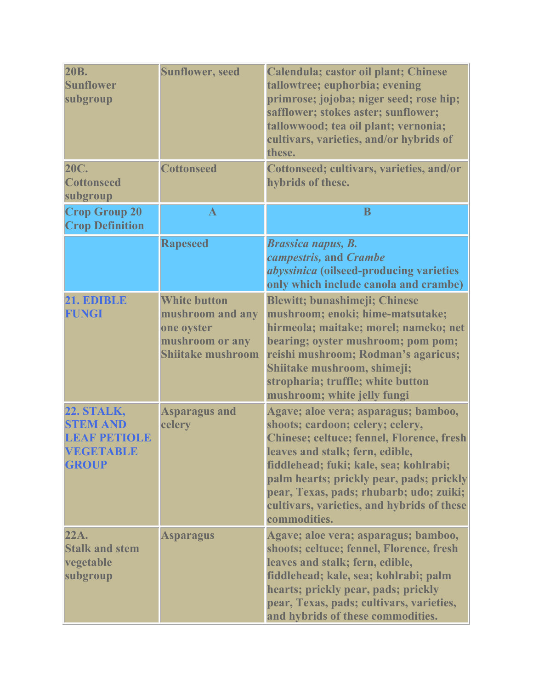| <b>20B.</b><br><b>Sunflower</b><br>subgroup                                                     | <b>Sunflower, seed</b>                                                                               | Calendula; castor oil plant; Chinese<br>tallowtree; euphorbia; evening<br>primrose; jojoba; niger seed; rose hip;<br>safflower; stokes aster; sunflower;<br>tallowwood; tea oil plant; vernonia;<br>cultivars, varieties, and/or hybrids of<br>these.                                                                                                   |
|-------------------------------------------------------------------------------------------------|------------------------------------------------------------------------------------------------------|---------------------------------------------------------------------------------------------------------------------------------------------------------------------------------------------------------------------------------------------------------------------------------------------------------------------------------------------------------|
| <b>20C.</b><br><b>Cottonseed</b><br>subgroup                                                    | <b>Cottonseed</b>                                                                                    | Cottonseed; cultivars, varieties, and/or<br>hybrids of these.                                                                                                                                                                                                                                                                                           |
| <b>Crop Group 20</b><br><b>Crop Definition</b>                                                  | $\mathbf{A}$                                                                                         | B                                                                                                                                                                                                                                                                                                                                                       |
|                                                                                                 | <b>Rapeseed</b>                                                                                      | <b>Brassica napus, B.</b><br>campestris, and Crambe<br><i>abyssinica</i> (oilseed-producing varieties<br>only which include canola and crambe)                                                                                                                                                                                                          |
| 21. EDIBLE<br>FUNGI                                                                             | <b>White button</b><br>mushroom and any<br>one oyster<br>mushroom or any<br><b>Shijtake mushroom</b> | <b>Blewitt; bunashimeji; Chinese</b><br>mushroom; enoki; hime-matsutake;<br>hirmeola; maitake; morel; nameko; net<br>bearing; oyster mushroom; pom pom;<br>reishi mushroom; Rodman's agaricus;<br>Shiitake mushroom, shimeji;<br>stropharia; truffle; white button<br>mushroom; white jelly fungi                                                       |
| <b>22. STALK,</b><br><b>STEM AND</b><br><b>LEAF PETIOLE</b><br><b>VEGETABLE</b><br><b>GROUP</b> | <b>Asparagus and</b><br>celery                                                                       | Agave; aloe vera; asparagus; bamboo,<br>shoots; cardoon; celery; celery,<br>Chinese; celtuce; fennel, Florence, fresh<br>leaves and stalk; fern, edible,<br>fiddlehead; fuki; kale, sea; kohlrabi;<br>palm hearts; prickly pear, pads; prickly<br>pear, Texas, pads; rhubarb; udo; zuiki;<br>cultivars, varieties, and hybrids of these<br>commodities. |
| 22A.<br><b>Stalk and stem</b><br>vegetable<br>subgroup                                          | <b>Asparagus</b>                                                                                     | Agave; aloe vera; asparagus; bamboo,<br>shoots; celtuce; fennel, Florence, fresh<br>leaves and stalk; fern, edible,<br>fiddlehead; kale, sea; kohlrabi; palm<br>hearts; prickly pear, pads; prickly<br>pear, Texas, pads; cultivars, varieties,<br>and hybrids of these commodities.                                                                    |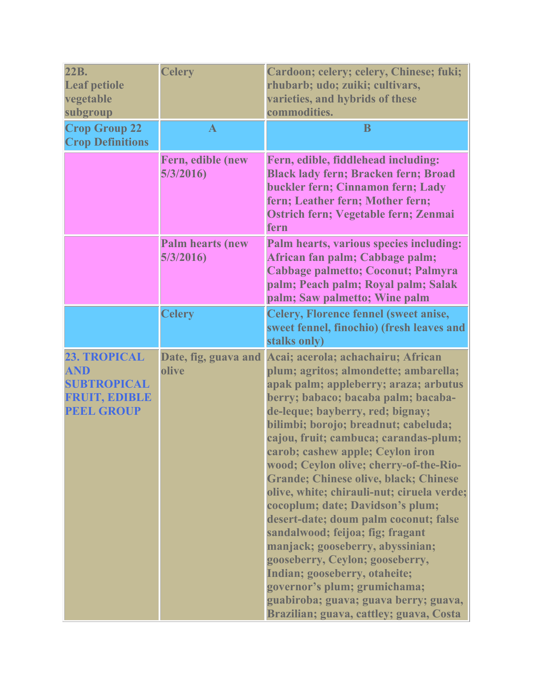| 22B.<br><b>Leaf petiole</b><br>vegetable<br>subgroup                                          | <b>Celery</b>                       | Cardoon; celery; celery, Chinese; fuki;<br>rhubarb; udo; zuiki; cultivars,<br>varieties, and hybrids of these<br>commodities.                                                                                                                                                                                                                                                                                                                                                                                                                                                                                                                                                                                                                                                                             |
|-----------------------------------------------------------------------------------------------|-------------------------------------|-----------------------------------------------------------------------------------------------------------------------------------------------------------------------------------------------------------------------------------------------------------------------------------------------------------------------------------------------------------------------------------------------------------------------------------------------------------------------------------------------------------------------------------------------------------------------------------------------------------------------------------------------------------------------------------------------------------------------------------------------------------------------------------------------------------|
| <b>Crop Group 22</b><br><b>Crop Definitions</b>                                               | $\mathbf{A}$                        | B                                                                                                                                                                                                                                                                                                                                                                                                                                                                                                                                                                                                                                                                                                                                                                                                         |
|                                                                                               | Fern, edible (new<br>5/3/2016       | Fern, edible, fiddlehead including:<br><b>Black lady fern; Bracken fern; Broad</b><br>buckler fern; Cinnamon fern; Lady<br>fern; Leather fern; Mother fern;<br>Ostrich fern; Vegetable fern; Zenmai<br>fern                                                                                                                                                                                                                                                                                                                                                                                                                                                                                                                                                                                               |
|                                                                                               | <b>Palm hearts (new</b><br>5/3/2016 | Palm hearts, various species including:<br>African fan palm; Cabbage palm;<br>Cabbage palmetto; Coconut; Palmyra<br>palm; Peach palm; Royal palm; Salak<br>palm; Saw palmetto; Wine palm                                                                                                                                                                                                                                                                                                                                                                                                                                                                                                                                                                                                                  |
|                                                                                               | <b>Celery</b>                       | <b>Celery, Florence fennel (sweet anise,</b><br>sweet fennel, finochio) (fresh leaves and<br>stalks only)                                                                                                                                                                                                                                                                                                                                                                                                                                                                                                                                                                                                                                                                                                 |
| 23. TROPICAL<br><b>AND</b><br><b>SUBTROPICAL</b><br><b>FRUIT, EDIBLE</b><br><b>PEEL GROUP</b> | Date, fig, guava and<br>olive       | Acai; acerola; achachairu; African<br>plum; agritos; almondette; ambarella;<br>apak palm; appleberry; araza; arbutus<br>berry; babaco; bacaba palm; bacaba-<br>de-leque; bayberry, red; bignay;<br>bilimbi; borojo; breadnut; cabeluda;<br>cajou, fruit; cambuca; carandas-plum;<br>carob; cashew apple; Ceylon iron<br>wood; Ceylon olive; cherry-of-the-Rio-<br><b>Grande; Chinese olive, black; Chinese</b><br>olive, white; chirauli-nut; ciruela verde;<br>cocoplum; date; Davidson's plum;<br>desert-date; doum palm coconut; false<br>sandalwood; feijoa; fig; fragant<br>manjack; gooseberry, abyssinian;<br>gooseberry, Ceylon; gooseberry,<br>Indian; gooseberry, otaheite;<br>governor's plum; grumichama;<br>guabiroba; guava; guava berry; guava,<br>Brazilian; guava, cattley; guava, Costa |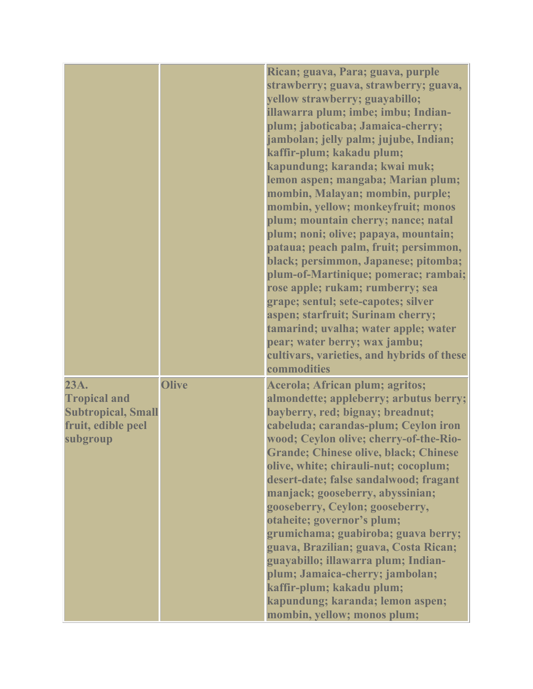|                                                                                            |              | Rican; guava, Para; guava, purple<br>strawberry; guava, strawberry; guava,<br>yellow strawberry; guayabillo;<br>illawarra plum; imbe; imbu; Indian-<br>plum; jaboticaba; Jamaica-cherry;<br>jambolan; jelly palm; jujube, Indian;<br>kaffir-plum; kakadu plum;<br>kapundung; karanda; kwai muk;<br>lemon aspen; mangaba; Marian plum;<br>mombin, Malayan; mombin, purple;<br>mombin, yellow; monkeyfruit; monos<br>plum; mountain cherry; nance; natal<br>plum; noni; olive; papaya, mountain;<br>pataua; peach palm, fruit; persimmon,<br>black; persimmon, Japanese; pitomba;<br>plum-of-Martinique; pomerac; rambai;<br>rose apple; rukam; rumberry; sea<br>grape; sentul; sete-capotes; silver<br>aspen; starfruit; Surinam cherry;<br>tamarind; uvalha; water apple; water<br>pear; water berry; wax jambu;<br>cultivars, varieties, and hybrids of these<br>commodities |
|--------------------------------------------------------------------------------------------|--------------|-------------------------------------------------------------------------------------------------------------------------------------------------------------------------------------------------------------------------------------------------------------------------------------------------------------------------------------------------------------------------------------------------------------------------------------------------------------------------------------------------------------------------------------------------------------------------------------------------------------------------------------------------------------------------------------------------------------------------------------------------------------------------------------------------------------------------------------------------------------------------------|
| 23A.<br><b>Tropical and</b><br><b>Subtropical, Small</b><br>fruit, edible peel<br>subgroup | <b>Olive</b> | <b>Acerola; African plum; agritos;</b><br>almondette; appleberry; arbutus berry;<br>bayberry, red; bignay; breadnut;<br>cabeluda; carandas-plum; Ceylon iron<br>wood; Ceylon olive; cherry-of-the-Rio-<br><b>Grande; Chinese olive, black; Chinese</b><br>olive, white; chirauli-nut; cocoplum;<br>desert-date; false sandalwood; fragant<br>manjack; gooseberry, abyssinian;<br>gooseberry, Ceylon; gooseberry,<br>otaheite; governor's plum;<br>grumichama; guabiroba; guava berry;<br>guava, Brazilian; guava, Costa Rican;<br>guayabillo; illawarra plum; Indian-<br>plum; Jamaica-cherry; jambolan;<br>kaffir-plum; kakadu plum;<br>kapundung; karanda; lemon aspen;<br>mombin, yellow; monos plum;                                                                                                                                                                      |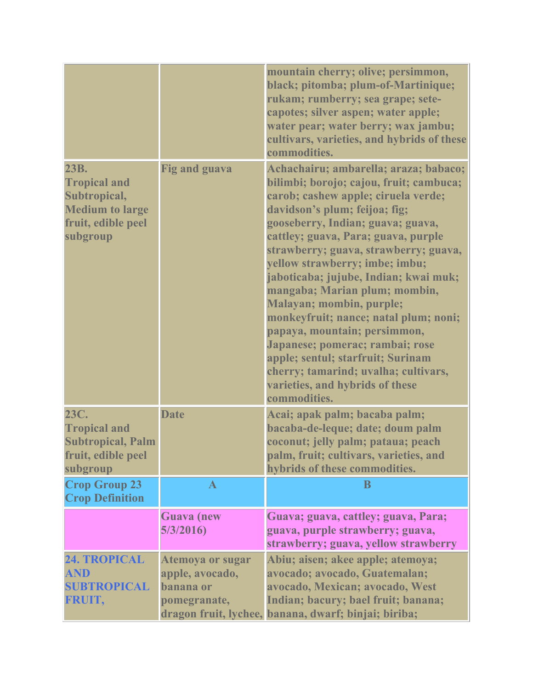|                                                                                                         |                                                                  | mountain cherry; olive; persimmon,<br>black; pitomba; plum-of-Martinique;<br>rukam; rumberry; sea grape; sete-<br>capotes; silver aspen; water apple;<br>water pear; water berry; wax jambu;<br>cultivars, varieties, and hybrids of these<br>commodities.                                                                                                                                                                                                                                                                                                                                                                                                               |
|---------------------------------------------------------------------------------------------------------|------------------------------------------------------------------|--------------------------------------------------------------------------------------------------------------------------------------------------------------------------------------------------------------------------------------------------------------------------------------------------------------------------------------------------------------------------------------------------------------------------------------------------------------------------------------------------------------------------------------------------------------------------------------------------------------------------------------------------------------------------|
| 23B.<br><b>Tropical and</b><br>Subtropical,<br><b>Medium to large</b><br>fruit, edible peel<br>subgroup | <b>Fig and guava</b>                                             | Achachairu; ambarella; araza; babaco;<br>bilimbi; borojo; cajou, fruit; cambuca;<br>carob; cashew apple; ciruela verde;<br>davidson's plum; feijoa; fig;<br>gooseberry, Indian; guava; guava,<br>cattley; guava, Para; guava, purple<br>strawberry; guava, strawberry; guava,<br>yellow strawberry; imbe; imbu;<br>jaboticaba; jujube, Indian; kwai muk;<br>mangaba; Marian plum; mombin,<br><b>Malayan; mombin, purple;</b><br>monkeyfruit; nance; natal plum; noni;<br>papaya, mountain; persimmon,<br>Japanese; pomerac; rambai; rose<br>apple; sentul; starfruit; Surinam<br>cherry; tamarind; uvalha; cultivars,<br>varieties, and hybrids of these<br>commodities. |
| 23C.<br><b>Tropical and</b><br><b>Subtropical, Palm</b><br>fruit, edible peel<br>subgroup               | <b>Date</b>                                                      | Acai; apak palm; bacaba palm;<br>bacaba-de-leque; date; doum palm<br>coconut; jelly palm; pataua; peach<br>palm, fruit; cultivars, varieties, and<br>hybrids of these commodities.                                                                                                                                                                                                                                                                                                                                                                                                                                                                                       |
| <b>Crop Group 23</b><br><b>Crop Definition</b>                                                          | $\mathbf{A}$                                                     | B                                                                                                                                                                                                                                                                                                                                                                                                                                                                                                                                                                                                                                                                        |
|                                                                                                         | <b>Guava</b> (new<br>5/3/2016                                    | Guava; guava, cattley; guava, Para;<br>guava, purple strawberry; guava,<br>strawberry; guava, yellow strawberry                                                                                                                                                                                                                                                                                                                                                                                                                                                                                                                                                          |
| 24. TROPICAL<br><b>AND</b><br><b>SUBTROPICAL</b><br>FRUIT,                                              | Atemoya or sugar<br>apple, avocado,<br>banana or<br>pomegranate, | Abiu; aisen; akee apple; atemoya;<br>avocado; avocado, Guatemalan;<br>avocado, Mexican; avocado, West<br>Indian; bacury; bael fruit; banana;<br>dragon fruit, lychee, banana, dwarf; binjai; biriba;                                                                                                                                                                                                                                                                                                                                                                                                                                                                     |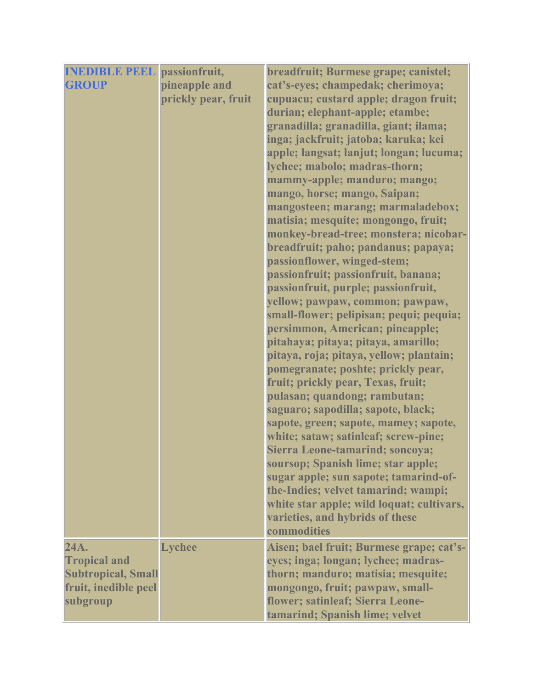| <b>INEDIBLE PEEL</b> passionfruit, |                     | breadfruit; Burmese grape; canistel;                                    |
|------------------------------------|---------------------|-------------------------------------------------------------------------|
| <b>GROUP</b>                       | pineapple and       | cat's-eyes; champedak; cherimoya;                                       |
|                                    | prickly pear, fruit | cupuacu; custard apple; dragon fruit;                                   |
|                                    |                     | durian; elephant-apple; etambe;                                         |
|                                    |                     | granadilla; granadilla, giant; ilama;                                   |
|                                    |                     | inga; jackfruit; jatoba; karuka; kei                                    |
|                                    |                     | apple; langsat; lanjut; longan; lucuma;                                 |
|                                    |                     | lychee; mabolo; madras-thorn;                                           |
|                                    |                     | mammy-apple; manduro; mango;                                            |
|                                    |                     | mango, horse; mango, Saipan;                                            |
|                                    |                     | mangosteen; marang; marmaladebox;                                       |
|                                    |                     | matisia; mesquite; mongongo, fruit;                                     |
|                                    |                     | monkey-bread-tree; monstera; nicobar-                                   |
|                                    |                     | breadfruit; paho; pandanus; papaya;                                     |
|                                    |                     | passionflower, winged-stem;                                             |
|                                    |                     | passionfruit; passionfruit, banana;                                     |
|                                    |                     | passionfruit, purple; passionfruit,                                     |
|                                    |                     | yellow; pawpaw, common; pawpaw,                                         |
|                                    |                     | small-flower; pelipisan; pequi; pequia;                                 |
|                                    |                     | persimmon, American; pineapple;                                         |
|                                    |                     | pitahaya; pitaya; pitaya, amarillo;                                     |
|                                    |                     | pitaya, roja; pitaya, yellow; plantain;                                 |
|                                    |                     | pomegranate; poshte; prickly pear,                                      |
|                                    |                     | fruit; prickly pear, Texas, fruit;                                      |
|                                    |                     | pulasan; quandong; rambutan;                                            |
|                                    |                     | saguaro; sapodilla; sapote, black;                                      |
|                                    |                     | sapote, green; sapote, mamey; sapote,                                   |
|                                    |                     | white; sataw; satinleaf; screw-pine;<br>Sierra Leone-tamarind; soncova; |
|                                    |                     | soursop; Spanish lime; star apple;                                      |
|                                    |                     | sugar apple; sun sapote; tamarind-of-                                   |
|                                    |                     | the-Indies; velvet tamarind; wampi;                                     |
|                                    |                     | white star apple; wild loquat; cultivars,                               |
|                                    |                     | varieties, and hybrids of these                                         |
|                                    |                     | commodities                                                             |
| 24A.                               | <b>Lychee</b>       | Aisen; bael fruit; Burmese grape; cat's-                                |
| <b>Tropical and</b>                |                     | eyes; inga; longan; lychee; madras-                                     |
| <b>Subtropical, Small</b>          |                     | thorn; manduro; matisia; mesquite;                                      |
| fruit, inedible peel               |                     | mongongo, fruit; pawpaw, small-                                         |
| subgroup                           |                     | flower; satinleaf; Sierra Leone-                                        |
|                                    |                     | tamarind; Spanish lime; velvet                                          |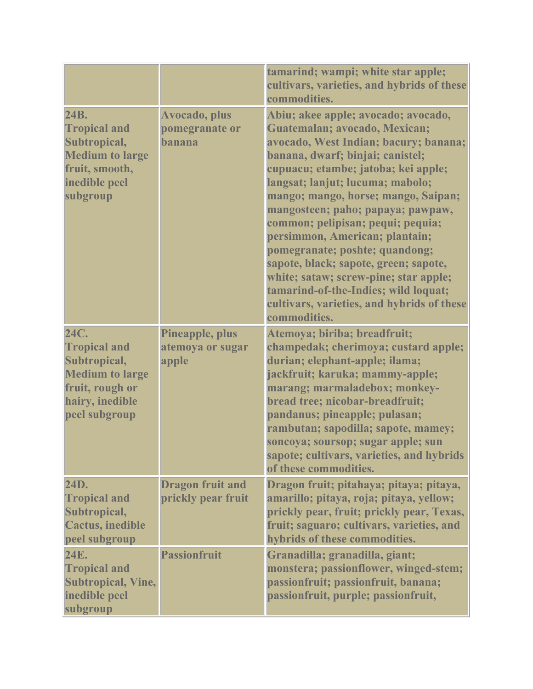|                                                                                                                              |                                               | tamarind; wampi; white star apple;<br>cultivars, varieties, and hybrids of these<br>commodities.                                                                                                                                                                                                                                                                                                                                                                                                                                                                                                          |
|------------------------------------------------------------------------------------------------------------------------------|-----------------------------------------------|-----------------------------------------------------------------------------------------------------------------------------------------------------------------------------------------------------------------------------------------------------------------------------------------------------------------------------------------------------------------------------------------------------------------------------------------------------------------------------------------------------------------------------------------------------------------------------------------------------------|
| 24B.<br><b>Tropical and</b><br>Subtropical,<br><b>Medium to large</b><br>fruit, smooth,<br>inedible peel<br>subgroup         | Avocado, plus<br>pomegranate or<br>banana     | Abiu; akee apple; avocado; avocado,<br>Guatemalan; avocado, Mexican;<br>avocado, West Indian; bacury; banana;<br>banana, dwarf; binjai; canistel;<br>cupuacu; etambe; jatoba; kei apple;<br>langsat; lanjut; lucuma; mabolo;<br>mango; mango, horse; mango, Saipan;<br>mangosteen; paho; papaya; pawpaw,<br>common; pelipisan; pequi; pequia;<br>persimmon, American; plantain;<br>pomegranate; poshte; quandong;<br>sapote, black; sapote, green; sapote,<br>white; sataw; screw-pine; star apple;<br>tamarind-of-the-Indies; wild loquat;<br>cultivars, varieties, and hybrids of these<br>commodities. |
| 24C.<br><b>Tropical and</b><br>Subtropical,<br><b>Medium to large</b><br>fruit, rough or<br>hairy, inedible<br>peel subgroup | Pineapple, plus<br>atemoya or sugar<br>apple  | Atemoya; biriba; breadfruit;<br>champedak; cherimoya; custard apple;<br>durian; elephant-apple; ilama;<br>jackfruit; karuka; mammy-apple;<br>marang; marmaladebox; monkey-<br>bread tree; nicobar-breadfruit;<br>pandanus; pineapple; pulasan;<br>rambutan; sapodilla; sapote, mamey;<br>soncoya; soursop; sugar apple; sun<br>sapote; cultivars, varieties, and hybrids<br>of these commodities.                                                                                                                                                                                                         |
| 24D.<br><b>Tropical and</b><br>Subtropical,<br><b>Cactus, inedible</b><br>peel subgroup                                      | <b>Dragon fruit and</b><br>prickly pear fruit | Dragon fruit; pitahaya; pitaya; pitaya,<br>amarillo; pitaya, roja; pitaya, yellow;<br>prickly pear, fruit; prickly pear, Texas,<br>fruit; saguaro; cultivars, varieties, and<br>hybrids of these commodities.                                                                                                                                                                                                                                                                                                                                                                                             |
| 24E.<br><b>Tropical and</b><br><b>Subtropical, Vine,</b><br>inedible peel<br>subgroup                                        | <b>Passionfruit</b>                           | Granadilla; granadilla, giant;<br>monstera; passionflower, winged-stem;<br>passionfruit; passionfruit, banana;<br>passionfruit, purple; passionfruit,                                                                                                                                                                                                                                                                                                                                                                                                                                                     |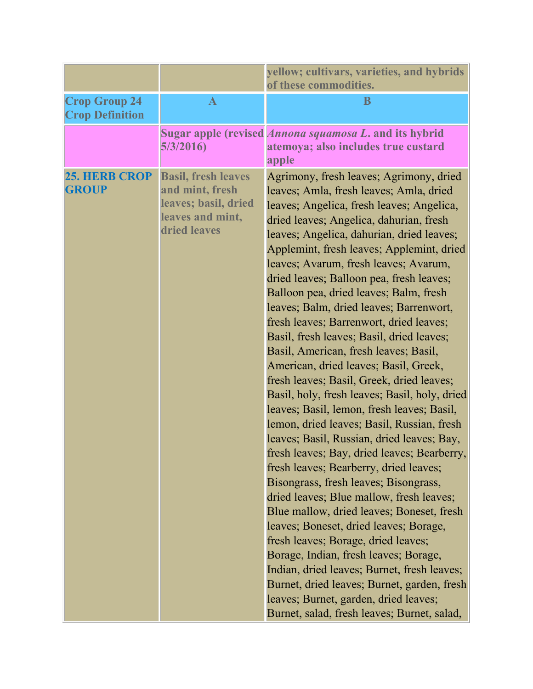|                                                |                                                                                                           | yellow; cultivars, varieties, and hybrids<br>of these commodities.                                                                                                                                                                                                                                                                                                                                                                                                                                                                                                                                                                                                                                                                                                                                                                                                                                                                                                                                                                                                                                                                                                                                                                                                                                                                                                                                          |
|------------------------------------------------|-----------------------------------------------------------------------------------------------------------|-------------------------------------------------------------------------------------------------------------------------------------------------------------------------------------------------------------------------------------------------------------------------------------------------------------------------------------------------------------------------------------------------------------------------------------------------------------------------------------------------------------------------------------------------------------------------------------------------------------------------------------------------------------------------------------------------------------------------------------------------------------------------------------------------------------------------------------------------------------------------------------------------------------------------------------------------------------------------------------------------------------------------------------------------------------------------------------------------------------------------------------------------------------------------------------------------------------------------------------------------------------------------------------------------------------------------------------------------------------------------------------------------------------|
| <b>Crop Group 24</b><br><b>Crop Definition</b> | $\mathbf{A}$                                                                                              | B                                                                                                                                                                                                                                                                                                                                                                                                                                                                                                                                                                                                                                                                                                                                                                                                                                                                                                                                                                                                                                                                                                                                                                                                                                                                                                                                                                                                           |
|                                                | 5/3/2016                                                                                                  | Sugar apple (revised <i>Annona squamosa L</i> . and its hybrid<br>atemoya; also includes true custard<br>apple                                                                                                                                                                                                                                                                                                                                                                                                                                                                                                                                                                                                                                                                                                                                                                                                                                                                                                                                                                                                                                                                                                                                                                                                                                                                                              |
| <b>25. HERB CROP</b><br><b>GROUP</b>           | <b>Basil, fresh leaves</b><br>and mint, fresh<br>leaves; basil, dried<br>leaves and mint,<br>dried leaves | Agrimony, fresh leaves; Agrimony, dried<br>leaves; Amla, fresh leaves; Amla, dried<br>leaves; Angelica, fresh leaves; Angelica,<br>dried leaves; Angelica, dahurian, fresh<br>leaves; Angelica, dahurian, dried leaves;<br>Applemint, fresh leaves; Applemint, dried<br>leaves; Avarum, fresh leaves; Avarum,<br>dried leaves; Balloon pea, fresh leaves;<br>Balloon pea, dried leaves; Balm, fresh<br>leaves; Balm, dried leaves; Barrenwort,<br>fresh leaves; Barrenwort, dried leaves;<br>Basil, fresh leaves; Basil, dried leaves;<br>Basil, American, fresh leaves; Basil,<br>American, dried leaves; Basil, Greek,<br>fresh leaves; Basil, Greek, dried leaves;<br>Basil, holy, fresh leaves; Basil, holy, dried<br>leaves; Basil, lemon, fresh leaves; Basil,<br>lemon, dried leaves; Basil, Russian, fresh<br>leaves; Basil, Russian, dried leaves; Bay,<br>fresh leaves; Bay, dried leaves; Bearberry,<br>fresh leaves; Bearberry, dried leaves;<br>Bisongrass, fresh leaves; Bisongrass,<br>dried leaves; Blue mallow, fresh leaves;<br>Blue mallow, dried leaves; Boneset, fresh<br>leaves; Boneset, dried leaves; Borage,<br>fresh leaves; Borage, dried leaves;<br>Borage, Indian, fresh leaves; Borage,<br>Indian, dried leaves; Burnet, fresh leaves;<br>Burnet, dried leaves; Burnet, garden, fresh<br>leaves; Burnet, garden, dried leaves;<br>Burnet, salad, fresh leaves; Burnet, salad, |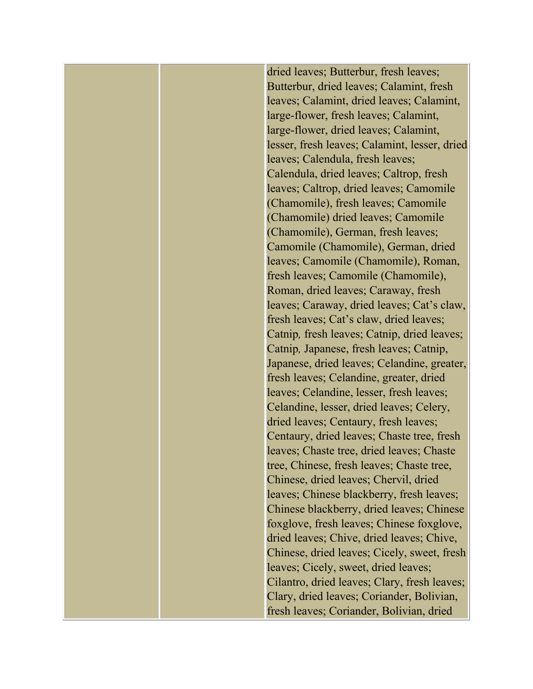dried leaves; Butterbur, fresh leaves; Butterbur, dried leaves; Calamint, fresh leaves; Calamint, dried leaves; Calamint, large-flower, fresh leaves; Calamint, large-flower, dried leaves; Calamint, lesser, fresh leaves; Calamint, lesser, dried leaves; Calendula, fresh leaves; Calendula, dried leaves; Caltrop, fresh leaves; Caltrop, dried leaves; Camomile (Chamomile), fresh leaves; Camomile (Chamomile) dried leaves; Camomile (Chamomile), German, fresh leaves; Camomile (Chamomile), German, dried leaves; Camomile (Chamomile), Roman, fresh leaves; Camomile (Chamomile), Roman, dried leaves; Caraway, fresh leaves; Caraway, dried leaves; Cat's claw, fresh leaves; Cat's claw, dried leaves; Catnip*,* fresh leaves; Catnip, dried leaves; Catnip*,* Japanese, fresh leaves; Catnip, Japanese, dried leaves; Celandine, greater, fresh leaves; Celandine, greater, dried leaves; Celandine, lesser, fresh leaves; Celandine, lesser, dried leaves; Celery, dried leaves; Centaury, fresh leaves; Centaury, dried leaves; Chaste tree, fresh leaves; Chaste tree, dried leaves; Chaste tree, Chinese, fresh leaves; Chaste tree, Chinese, dried leaves; Chervil, dried leaves; Chinese blackberry, fresh leaves; Chinese blackberry, dried leaves; Chinese foxglove, fresh leaves; Chinese foxglove, dried leaves; Chive, dried leaves; Chive, Chinese, dried leaves; Cicely, sweet, fresh leaves; Cicely, sweet, dried leaves; Cilantro, dried leaves; Clary, fresh leaves; Clary, dried leaves; Coriander, Bolivian, fresh leaves; Coriander, Bolivian, dried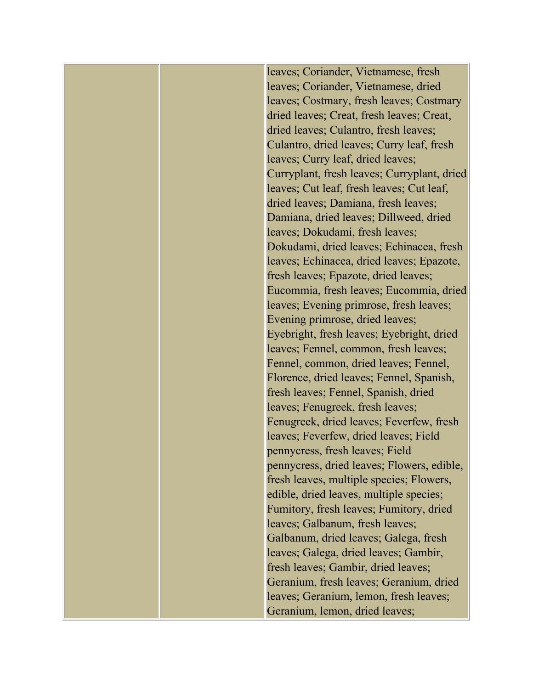leaves; Coriander, Vietnamese, fresh leaves; Coriander, Vietnamese, dried leaves; Costmary, fresh leaves; Costmary dried leaves; Creat, fresh leaves; Creat, dried leaves; Culantro, fresh leaves; Culantro, dried leaves; Curry leaf, fresh leaves; Curry leaf, dried leaves; Curryplant, fresh leaves; Curryplant, dried leaves; Cut leaf, fresh leaves; Cut leaf, dried leaves; Damiana, fresh leaves; Damiana, dried leaves; Dillweed, dried leaves; Dokudami, fresh leaves; Dokudami, dried leaves; Echinacea, fresh leaves; Echinacea, dried leaves; Epazote, fresh leaves; Epazote, dried leaves; Eucommia, fresh leaves; Eucommia, dried leaves; Evening primrose, fresh leaves; Evening primrose, dried leaves; Eyebright, fresh leaves; Eyebright, dried leaves; Fennel, common, fresh leaves; Fennel, common, dried leaves; Fennel, Florence, dried leaves; Fennel, Spanish, fresh leaves; Fennel, Spanish, dried leaves; Fenugreek, fresh leaves; Fenugreek, dried leaves; Feverfew, fresh leaves; Feverfew, dried leaves; Field pennycress, fresh leaves; Field pennycress, dried leaves; Flowers, edible, fresh leaves, multiple species; Flowers, edible, dried leaves, multiple species; Fumitory, fresh leaves; Fumitory, dried leaves; Galbanum, fresh leaves; Galbanum, dried leaves; Galega, fresh leaves; Galega, dried leaves; Gambir, fresh leaves; Gambir, dried leaves; Geranium, fresh leaves; Geranium, dried leaves; Geranium, lemon, fresh leaves; Geranium, lemon, dried leaves;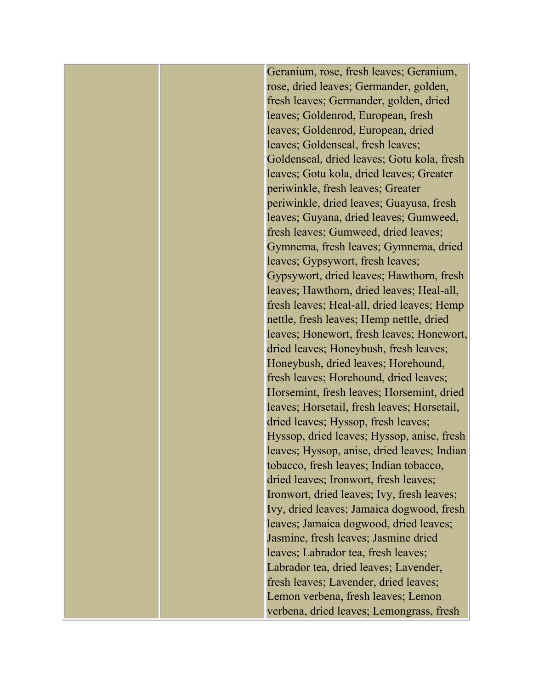Geranium, rose, fresh leaves; Geranium, rose, dried leaves; Germander, golden, fresh leaves; Germander, golden, dried leaves; Goldenrod, European, fresh leaves; Goldenrod, European, dried leaves; Goldenseal, fresh leaves; Goldenseal, dried leaves; Gotu kola, fresh leaves; Gotu kola, dried leaves; Greater periwinkle, fresh leaves; Greater periwinkle, dried leaves; Guayusa, fresh leaves; Guyana, dried leaves; Gumweed, fresh leaves; Gumweed, dried leaves; Gymnema, fresh leaves; Gymnema, dried leaves; Gypsywort, fresh leaves; Gypsywort, dried leaves; Hawthorn, fresh leaves; Hawthorn, dried leaves; Heal-all, fresh leaves; Heal-all, dried leaves; Hemp nettle, fresh leaves; Hemp nettle, dried leaves; Honewort, fresh leaves; Honewort, dried leaves; Honeybush, fresh leaves; Honeybush, dried leaves; Horehound, fresh leaves; Horehound, dried leaves; Horsemint, fresh leaves; Horsemint, dried leaves; Horsetail, fresh leaves; Horsetail, dried leaves; Hyssop, fresh leaves; Hyssop, dried leaves; Hyssop, anise, fresh leaves; Hyssop, anise, dried leaves; Indian tobacco, fresh leaves; Indian tobacco, dried leaves; Ironwort, fresh leaves; Ironwort, dried leaves; Ivy, fresh leaves; Ivy, dried leaves; Jamaica dogwood, fresh leaves; Jamaica dogwood, dried leaves; Jasmine, fresh leaves; Jasmine dried leaves; Labrador tea, fresh leaves; Labrador tea, dried leaves; Lavender, fresh leaves; Lavender, dried leaves; Lemon verbena, fresh leaves; Lemon verbena, dried leaves; Lemongrass, fresh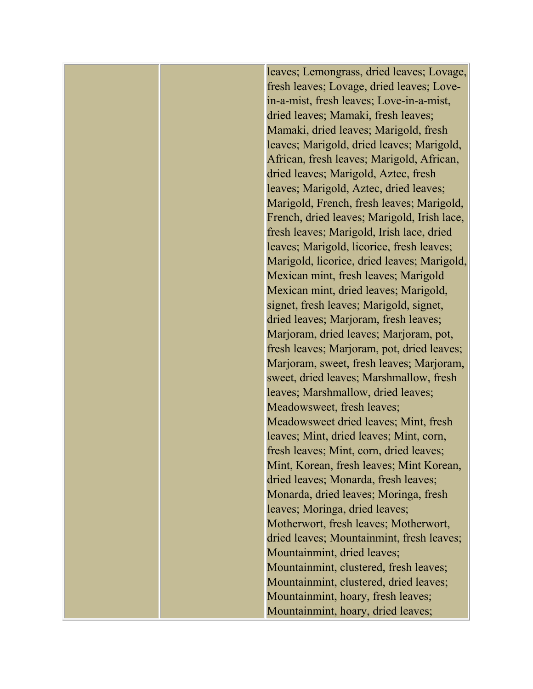leaves; Lemongrass, dried leaves; Lovage, fresh leaves; Lovage, dried leaves; Lovein-a-mist, fresh leaves; Love-in-a-mist, dried leaves; Mamaki, fresh leaves; Mamaki, dried leaves; Marigold, fresh leaves; Marigold, dried leaves; Marigold, African, fresh leaves; Marigold, African, dried leaves; Marigold, Aztec, fresh leaves; Marigold, Aztec, dried leaves; Marigold, French, fresh leaves; Marigold, French, dried leaves; Marigold, Irish lace, fresh leaves; Marigold, Irish lace, dried leaves; Marigold, licorice, fresh leaves; Marigold, licorice, dried leaves; Marigold, Mexican mint, fresh leaves; Marigold Mexican mint, dried leaves; Marigold, signet, fresh leaves; Marigold, signet, dried leaves; Marjoram, fresh leaves; Marjoram, dried leaves; Marjoram, pot, fresh leaves; Marjoram, pot, dried leaves; Marjoram, sweet, fresh leaves; Marjoram, sweet, dried leaves; Marshmallow, fresh leaves; Marshmallow, dried leaves; Meadowsweet, fresh leaves; Meadowsweet dried leaves; Mint, fresh leaves; Mint, dried leaves; Mint, corn, fresh leaves; Mint, corn, dried leaves; Mint, Korean, fresh leaves; Mint Korean, dried leaves; Monarda, fresh leaves; Monarda, dried leaves; Moringa, fresh leaves; Moringa, dried leaves; Motherwort, fresh leaves; Motherwort, dried leaves; Mountainmint, fresh leaves; Mountainmint, dried leaves; Mountainmint, clustered, fresh leaves; Mountainmint, clustered, dried leaves; Mountainmint, hoary, fresh leaves; Mountainmint, hoary, dried leaves;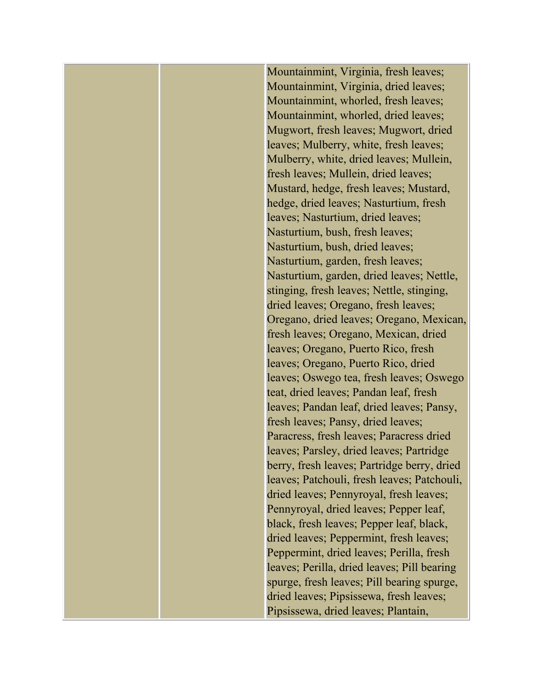Mountainmint, Virginia, fresh leaves; Mountainmint, Virginia, dried leaves; Mountainmint, whorled, fresh leaves; Mountainmint, whorled, dried leaves; Mugwort, fresh leaves; Mugwort, dried leaves; Mulberry, white, fresh leaves; Mulberry, white, dried leaves; Mullein, fresh leaves; Mullein, dried leaves; Mustard, hedge, fresh leaves; Mustard, hedge, dried leaves; Nasturtium, fresh leaves; Nasturtium, dried leaves; Nasturtium, bush, fresh leaves; Nasturtium, bush, dried leaves; Nasturtium, garden, fresh leaves; Nasturtium, garden, dried leaves; Nettle, stinging, fresh leaves; Nettle, stinging, dried leaves; Oregano, fresh leaves; Oregano, dried leaves; Oregano, Mexican, fresh leaves; Oregano, Mexican, dried leaves; Oregano, Puerto Rico, fresh leaves; Oregano, Puerto Rico, dried leaves; Oswego tea, fresh leaves; Oswego teat, dried leaves; Pandan leaf, fresh leaves; Pandan leaf, dried leaves; Pansy, fresh leaves; Pansy, dried leaves; Paracress, fresh leaves; Paracress dried leaves; Parsley, dried leaves; Partridge berry, fresh leaves; Partridge berry, dried leaves; Patchouli, fresh leaves; Patchouli, dried leaves; Pennyroyal, fresh leaves; Pennyroyal, dried leaves; Pepper leaf, black, fresh leaves; Pepper leaf, black, dried leaves; Peppermint, fresh leaves; Peppermint, dried leaves; Perilla, fresh leaves; Perilla, dried leaves; Pill bearing spurge, fresh leaves; Pill bearing spurge, dried leaves; Pipsissewa, fresh leaves; Pipsissewa, dried leaves; Plantain,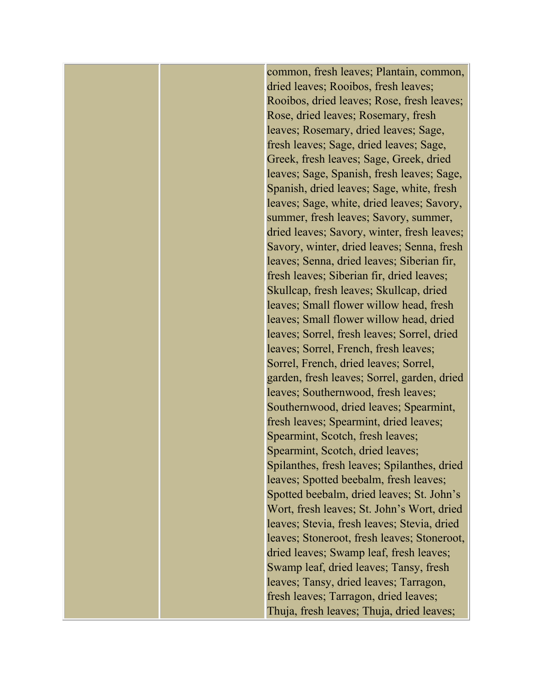common, fresh leaves; Plantain, common, dried leaves; Rooibos, fresh leaves; Rooibos, dried leaves; Rose, fresh leaves; Rose, dried leaves; Rosemary, fresh leaves; Rosemary, dried leaves; Sage, fresh leaves; Sage, dried leaves; Sage, Greek, fresh leaves; Sage, Greek, dried leaves; Sage, Spanish, fresh leaves; Sage, Spanish, dried leaves; Sage, white, fresh leaves; Sage, white, dried leaves; Savory, summer, fresh leaves; Savory, summer, dried leaves; Savory, winter, fresh leaves; Savory, winter, dried leaves; Senna, fresh leaves; Senna, dried leaves; Siberian fir, fresh leaves; Siberian fir, dried leaves; Skullcap, fresh leaves; Skullcap, dried leaves; Small flower willow head, fresh leaves; Small flower willow head, dried leaves; Sorrel, fresh leaves; Sorrel, dried leaves; Sorrel, French, fresh leaves; Sorrel, French, dried leaves; Sorrel, garden, fresh leaves; Sorrel, garden, dried leaves; Southernwood, fresh leaves; Southernwood, dried leaves; Spearmint, fresh leaves; Spearmint, dried leaves; Spearmint, Scotch, fresh leaves; Spearmint, Scotch, dried leaves; Spilanthes, fresh leaves; Spilanthes, dried leaves; Spotted beebalm, fresh leaves; Spotted beebalm, dried leaves; St. John's Wort, fresh leaves; St. John's Wort, dried leaves; Stevia, fresh leaves; Stevia, dried leaves; Stoneroot, fresh leaves; Stoneroot, dried leaves; Swamp leaf, fresh leaves; Swamp leaf, dried leaves; Tansy, fresh leaves; Tansy, dried leaves; Tarragon, fresh leaves; Tarragon, dried leaves; Thuja, fresh leaves; Thuja, dried leaves;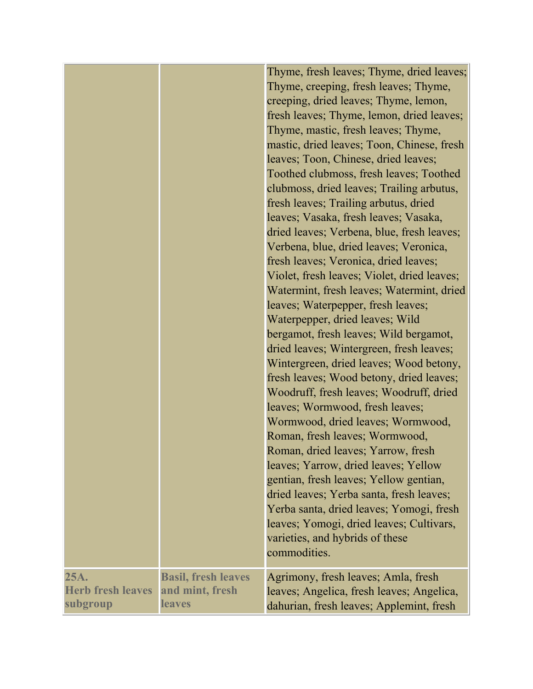| 25A.                     | <b>Basil, fresh leaves</b> | Thyme, fresh leaves; Thyme, dried leaves;<br>Thyme, creeping, fresh leaves; Thyme,<br>creeping, dried leaves; Thyme, lemon,<br>fresh leaves; Thyme, lemon, dried leaves;<br>Thyme, mastic, fresh leaves; Thyme,<br>mastic, dried leaves; Toon, Chinese, fresh<br>leaves; Toon, Chinese, dried leaves;<br>Toothed clubmoss, fresh leaves; Toothed<br>clubmoss, dried leaves; Trailing arbutus,<br>fresh leaves; Trailing arbutus, dried<br>leaves; Vasaka, fresh leaves; Vasaka,<br>dried leaves; Verbena, blue, fresh leaves;<br>Verbena, blue, dried leaves; Veronica,<br>fresh leaves; Veronica, dried leaves;<br>Violet, fresh leaves; Violet, dried leaves;<br>Watermint, fresh leaves; Watermint, dried<br>leaves; Waterpepper, fresh leaves;<br>Waterpepper, dried leaves; Wild<br>bergamot, fresh leaves; Wild bergamot,<br>dried leaves; Wintergreen, fresh leaves;<br>Wintergreen, dried leaves; Wood betony,<br>fresh leaves; Wood betony, dried leaves;<br>Woodruff, fresh leaves; Woodruff, dried<br>leaves; Wormwood, fresh leaves;<br>Wormwood, dried leaves; Wormwood,<br>Roman, fresh leaves; Wormwood,<br>Roman, dried leaves; Yarrow, fresh<br>leaves; Yarrow, dried leaves; Yellow<br>gentian, fresh leaves; Yellow gentian,<br>dried leaves; Yerba santa, fresh leaves;<br>Yerba santa, dried leaves; Yomogi, fresh<br>leaves; Yomogi, dried leaves; Cultivars,<br>varieties, and hybrids of these<br>commodities.<br>Agrimony, fresh leaves; Amla, fresh |
|--------------------------|----------------------------|-------------------------------------------------------------------------------------------------------------------------------------------------------------------------------------------------------------------------------------------------------------------------------------------------------------------------------------------------------------------------------------------------------------------------------------------------------------------------------------------------------------------------------------------------------------------------------------------------------------------------------------------------------------------------------------------------------------------------------------------------------------------------------------------------------------------------------------------------------------------------------------------------------------------------------------------------------------------------------------------------------------------------------------------------------------------------------------------------------------------------------------------------------------------------------------------------------------------------------------------------------------------------------------------------------------------------------------------------------------------------------------------------------------------------------------------------------------------------------|
| <b>Herb fresh leaves</b> | and mint, fresh            | leaves; Angelica, fresh leaves; Angelica,                                                                                                                                                                                                                                                                                                                                                                                                                                                                                                                                                                                                                                                                                                                                                                                                                                                                                                                                                                                                                                                                                                                                                                                                                                                                                                                                                                                                                                     |
| subgroup                 | <b>leaves</b>              | dahurian, fresh leaves; Applemint, fresh                                                                                                                                                                                                                                                                                                                                                                                                                                                                                                                                                                                                                                                                                                                                                                                                                                                                                                                                                                                                                                                                                                                                                                                                                                                                                                                                                                                                                                      |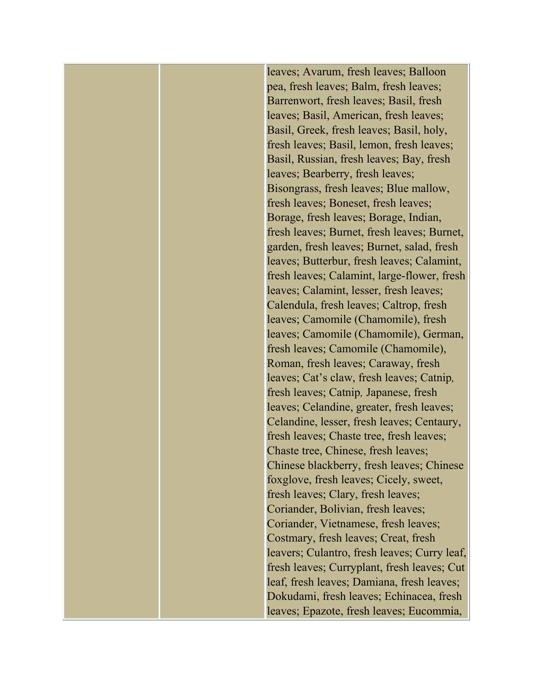leaves; Avarum, fresh leaves; Balloon pea, fresh leaves; Balm, fresh leaves; Barrenwort, fresh leaves; Basil, fresh leaves; Basil, American, fresh leaves; Basil, Greek, fresh leaves; Basil, holy, fresh leaves; Basil, lemon, fresh leaves; Basil, Russian, fresh leaves; Bay, fresh leaves; Bearberry, fresh leaves; Bisongrass, fresh leaves; Blue mallow, fresh leaves; Boneset, fresh leaves; Borage, fresh leaves; Borage, Indian, fresh leaves; Burnet, fresh leaves; Burnet, garden, fresh leaves; Burnet, salad, fresh leaves; Butterbur, fresh leaves; Calamint, fresh leaves; Calamint, large-flower, fresh leaves; Calamint, lesser, fresh leaves; Calendula, fresh leaves; Caltrop, fresh leaves; Camomile (Chamomile), fresh leaves; Camomile (Chamomile), German, fresh leaves; Camomile (Chamomile), Roman, fresh leaves; Caraway, fresh leaves; Cat's claw, fresh leaves; Catnip*,*  fresh leaves; Catnip*,* Japanese, fresh leaves; Celandine, greater, fresh leaves; Celandine, lesser, fresh leaves; Centaury, fresh leaves; Chaste tree, fresh leaves; Chaste tree, Chinese, fresh leaves; Chinese blackberry, fresh leaves; Chinese foxglove, fresh leaves; Cicely, sweet, fresh leaves; Clary, fresh leaves; Coriander, Bolivian, fresh leaves; Coriander, Vietnamese, fresh leaves; Costmary, fresh leaves; Creat, fresh leavers; Culantro, fresh leaves; Curry leaf, fresh leaves; Curryplant, fresh leaves; Cut leaf, fresh leaves; Damiana, fresh leaves; Dokudami, fresh leaves; Echinacea, fresh leaves; Epazote, fresh leaves; Eucommia,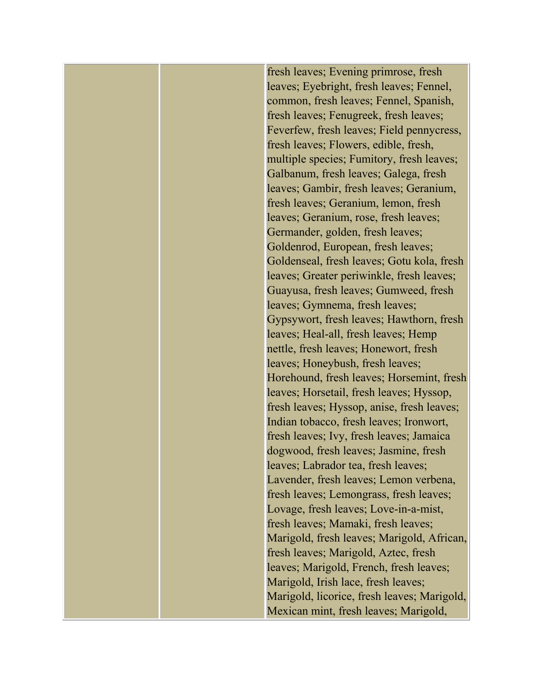fresh leaves; Evening primrose, fresh leaves; Eyebright, fresh leaves; Fennel, common, fresh leaves; Fennel, Spanish, fresh leaves; Fenugreek, fresh leaves; Feverfew, fresh leaves; Field pennycress, fresh leaves; Flowers, edible, fresh, multiple species; Fumitory, fresh leaves; Galbanum, fresh leaves; Galega, fresh leaves; Gambir, fresh leaves; Geranium, fresh leaves; Geranium, lemon, fresh leaves; Geranium, rose, fresh leaves; Germander, golden, fresh leaves; Goldenrod, European, fresh leaves; Goldenseal, fresh leaves; Gotu kola, fresh leaves; Greater periwinkle, fresh leaves; Guayusa, fresh leaves; Gumweed, fresh leaves; Gymnema, fresh leaves; Gypsywort, fresh leaves; Hawthorn, fresh leaves; Heal-all, fresh leaves; Hemp nettle, fresh leaves; Honewort, fresh leaves; Honeybush, fresh leaves; Horehound, fresh leaves; Horsemint, fresh leaves; Horsetail, fresh leaves; Hyssop, fresh leaves; Hyssop, anise, fresh leaves; Indian tobacco, fresh leaves; Ironwort, fresh leaves; Ivy, fresh leaves; Jamaica dogwood, fresh leaves; Jasmine, fresh leaves; Labrador tea, fresh leaves; Lavender, fresh leaves; Lemon verbena, fresh leaves; Lemongrass, fresh leaves; Lovage, fresh leaves; Love-in-a-mist, fresh leaves; Mamaki, fresh leaves; Marigold, fresh leaves; Marigold, African, fresh leaves; Marigold, Aztec, fresh leaves; Marigold, French, fresh leaves; Marigold, Irish lace, fresh leaves; Marigold, licorice, fresh leaves; Marigold, Mexican mint, fresh leaves; Marigold,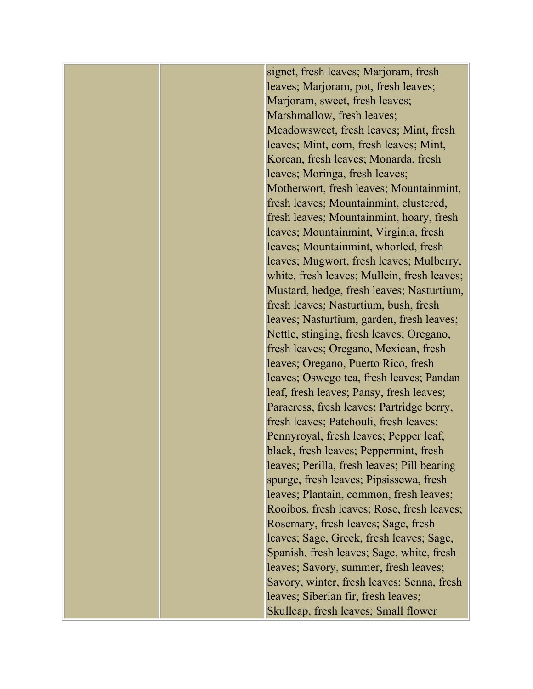signet, fresh leaves; Marjoram, fresh leaves; Marjoram, pot, fresh leaves; Marjoram, sweet, fresh leaves; Marshmallow, fresh leaves; Meadowsweet, fresh leaves; Mint, fresh leaves; Mint, corn, fresh leaves; Mint, Korean, fresh leaves; Monarda, fresh leaves; Moringa, fresh leaves; Motherwort, fresh leaves; Mountainmint, fresh leaves; Mountainmint, clustered, fresh leaves; Mountainmint, hoary, fresh leaves; Mountainmint, Virginia, fresh leaves; Mountainmint, whorled, fresh leaves; Mugwort, fresh leaves; Mulberry, white, fresh leaves; Mullein, fresh leaves; Mustard, hedge, fresh leaves; Nasturtium, fresh leaves; Nasturtium, bush, fresh leaves; Nasturtium, garden, fresh leaves; Nettle, stinging, fresh leaves; Oregano, fresh leaves; Oregano, Mexican, fresh leaves; Oregano, Puerto Rico, fresh leaves; Oswego tea, fresh leaves; Pandan leaf, fresh leaves; Pansy, fresh leaves; Paracress, fresh leaves; Partridge berry, fresh leaves; Patchouli, fresh leaves; Pennyroyal, fresh leaves; Pepper leaf, black, fresh leaves; Peppermint, fresh leaves; Perilla, fresh leaves; Pill bearing spurge, fresh leaves; Pipsissewa, fresh leaves; Plantain, common, fresh leaves; Rooibos, fresh leaves; Rose, fresh leaves; Rosemary, fresh leaves; Sage, fresh leaves; Sage, Greek, fresh leaves; Sage, Spanish, fresh leaves; Sage, white, fresh leaves; Savory, summer, fresh leaves; Savory, winter, fresh leaves; Senna, fresh leaves; Siberian fir, fresh leaves; Skullcap, fresh leaves; Small flower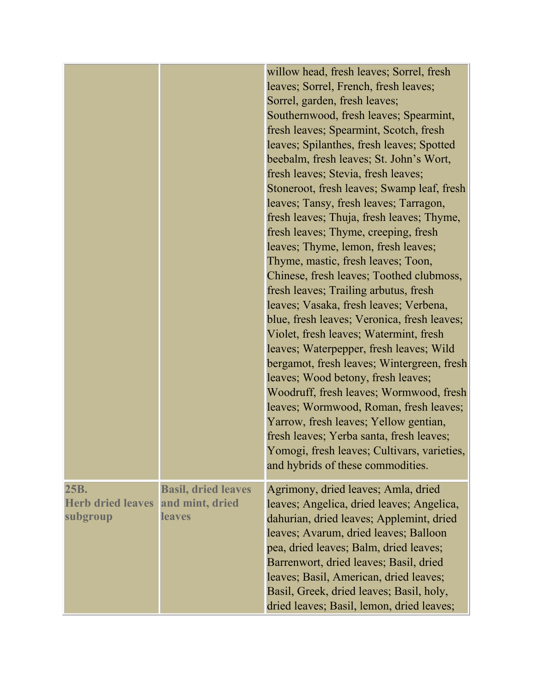|                                              |                                                                | willow head, fresh leaves; Sorrel, fresh<br>leaves; Sorrel, French, fresh leaves;<br>Sorrel, garden, fresh leaves;<br>Southernwood, fresh leaves; Spearmint,<br>fresh leaves; Spearmint, Scotch, fresh<br>leaves; Spilanthes, fresh leaves; Spotted<br>beebalm, fresh leaves; St. John's Wort,<br>fresh leaves; Stevia, fresh leaves;<br>Stoneroot, fresh leaves; Swamp leaf, fresh<br>leaves; Tansy, fresh leaves; Tarragon,<br>fresh leaves; Thuja, fresh leaves; Thyme,<br>fresh leaves; Thyme, creeping, fresh<br>leaves; Thyme, lemon, fresh leaves;<br>Thyme, mastic, fresh leaves; Toon,<br>Chinese, fresh leaves; Toothed clubmoss,<br>fresh leaves; Trailing arbutus, fresh<br>leaves; Vasaka, fresh leaves; Verbena,<br>blue, fresh leaves; Veronica, fresh leaves;<br>Violet, fresh leaves; Watermint, fresh<br>leaves; Waterpepper, fresh leaves; Wild<br>bergamot, fresh leaves; Wintergreen, fresh<br>leaves; Wood betony, fresh leaves;<br>Woodruff, fresh leaves; Wormwood, fresh<br>leaves; Wormwood, Roman, fresh leaves;<br>Yarrow, fresh leaves; Yellow gentian,<br>fresh leaves; Yerba santa, fresh leaves;<br>Yomogi, fresh leaves; Cultivars, varieties,<br>and hybrids of these commodities. |
|----------------------------------------------|----------------------------------------------------------------|----------------------------------------------------------------------------------------------------------------------------------------------------------------------------------------------------------------------------------------------------------------------------------------------------------------------------------------------------------------------------------------------------------------------------------------------------------------------------------------------------------------------------------------------------------------------------------------------------------------------------------------------------------------------------------------------------------------------------------------------------------------------------------------------------------------------------------------------------------------------------------------------------------------------------------------------------------------------------------------------------------------------------------------------------------------------------------------------------------------------------------------------------------------------------------------------------------------------|
| 25B.<br><b>Herb dried leaves</b><br>subgroup | <b>Basil, dried leaves</b><br>and mint, dried<br><b>leaves</b> | Agrimony, dried leaves; Amla, dried<br>leaves; Angelica, dried leaves; Angelica,<br>dahurian, dried leaves; Applemint, dried<br>leaves; Avarum, dried leaves; Balloon<br>pea, dried leaves; Balm, dried leaves;<br>Barrenwort, dried leaves; Basil, dried<br>leaves; Basil, American, dried leaves;<br>Basil, Greek, dried leaves; Basil, holy,<br>dried leaves; Basil, lemon, dried leaves;                                                                                                                                                                                                                                                                                                                                                                                                                                                                                                                                                                                                                                                                                                                                                                                                                         |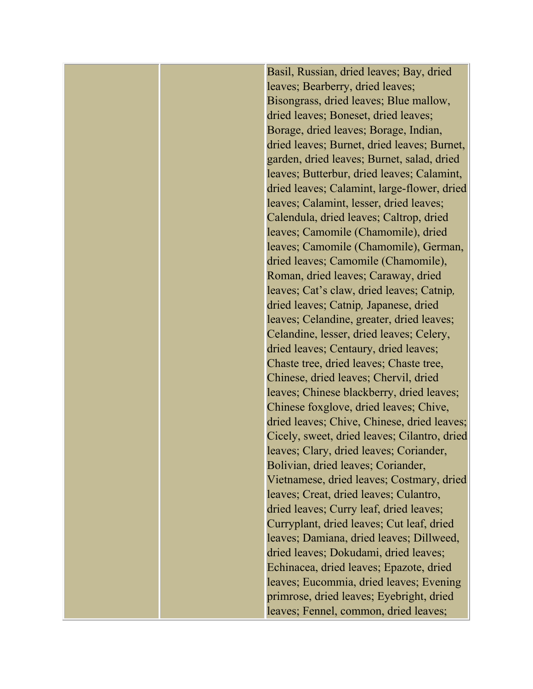Basil, Russian, dried leaves; Bay, dried leaves; Bearberry, dried leaves; Bisongrass, dried leaves; Blue mallow, dried leaves; Boneset, dried leaves; Borage, dried leaves; Borage, Indian, dried leaves; Burnet, dried leaves; Burnet, garden, dried leaves; Burnet, salad, dried leaves; Butterbur, dried leaves; Calamint, dried leaves; Calamint, large-flower, dried leaves; Calamint, lesser, dried leaves; Calendula, dried leaves; Caltrop, dried leaves; Camomile (Chamomile), dried leaves; Camomile (Chamomile), German, dried leaves; Camomile (Chamomile), Roman, dried leaves; Caraway, dried leaves; Cat's claw, dried leaves; Catnip*,*  dried leaves; Catnip*,* Japanese, dried leaves; Celandine, greater, dried leaves; Celandine, lesser, dried leaves; Celery, dried leaves; Centaury, dried leaves; Chaste tree, dried leaves; Chaste tree, Chinese, dried leaves; Chervil, dried leaves; Chinese blackberry, dried leaves; Chinese foxglove, dried leaves; Chive, dried leaves; Chive, Chinese, dried leaves; Cicely, sweet, dried leaves; Cilantro, dried leaves; Clary, dried leaves; Coriander, Bolivian, dried leaves; Coriander, Vietnamese, dried leaves; Costmary, dried leaves; Creat, dried leaves; Culantro, dried leaves; Curry leaf, dried leaves; Curryplant, dried leaves; Cut leaf, dried leaves; Damiana, dried leaves; Dillweed, dried leaves; Dokudami, dried leaves; Echinacea, dried leaves; Epazote, dried leaves; Eucommia, dried leaves; Evening primrose, dried leaves; Eyebright, dried leaves; Fennel, common, dried leaves;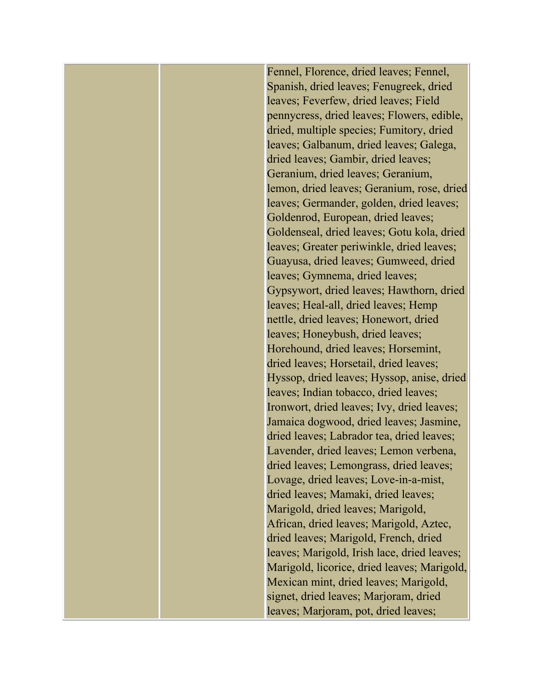Fennel, Florence, dried leaves; Fennel, Spanish, dried leaves; Fenugreek, dried leaves; Feverfew, dried leaves; Field pennycress, dried leaves; Flowers, edible, dried, multiple species; Fumitory, dried leaves; Galbanum, dried leaves; Galega, dried leaves; Gambir, dried leaves; Geranium, dried leaves; Geranium, lemon, dried leaves; Geranium, rose, dried leaves; Germander, golden, dried leaves; Goldenrod, European, dried leaves; Goldenseal, dried leaves; Gotu kola, dried leaves; Greater periwinkle, dried leaves; Guayusa, dried leaves; Gumweed, dried leaves; Gymnema, dried leaves; Gypsywort, dried leaves; Hawthorn, dried leaves; Heal-all, dried leaves; Hemp nettle, dried leaves; Honewort, dried leaves; Honeybush, dried leaves; Horehound, dried leaves; Horsemint, dried leaves; Horsetail, dried leaves; Hyssop, dried leaves; Hyssop, anise, dried leaves; Indian tobacco, dried leaves; Ironwort, dried leaves; Ivy, dried leaves; Jamaica dogwood, dried leaves; Jasmine, dried leaves; Labrador tea, dried leaves; Lavender, dried leaves; Lemon verbena, dried leaves; Lemongrass, dried leaves; Lovage, dried leaves; Love-in-a-mist, dried leaves; Mamaki, dried leaves; Marigold, dried leaves; Marigold, African, dried leaves; Marigold, Aztec, dried leaves; Marigold, French, dried leaves; Marigold, Irish lace, dried leaves; Marigold, licorice, dried leaves; Marigold, Mexican mint, dried leaves; Marigold, signet, dried leaves; Marjoram, dried leaves; Marjoram, pot, dried leaves;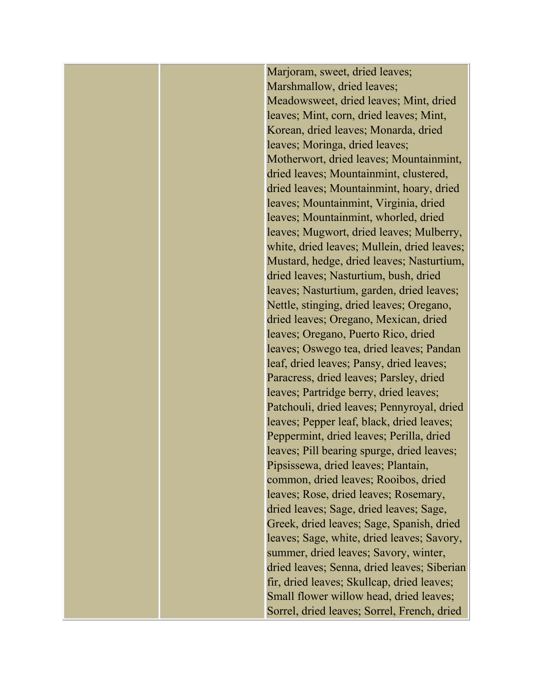Marjoram, sweet, dried leaves; Marshmallow, dried leaves; Meadowsweet, dried leaves; Mint, dried leaves; Mint, corn, dried leaves; Mint, Korean, dried leaves; Monarda, dried leaves; Moringa, dried leaves; Motherwort, dried leaves; Mountainmint, dried leaves; Mountainmint, clustered, dried leaves; Mountainmint, hoary, dried leaves; Mountainmint, Virginia, dried leaves; Mountainmint, whorled, dried leaves; Mugwort, dried leaves; Mulberry, white, dried leaves; Mullein, dried leaves; Mustard, hedge, dried leaves; Nasturtium, dried leaves; Nasturtium, bush, dried leaves; Nasturtium, garden, dried leaves; Nettle, stinging, dried leaves; Oregano, dried leaves; Oregano, Mexican, dried leaves; Oregano, Puerto Rico, dried leaves; Oswego tea, dried leaves; Pandan leaf, dried leaves; Pansy, dried leaves; Paracress, dried leaves; Parsley, dried leaves; Partridge berry, dried leaves; Patchouli, dried leaves; Pennyroyal, dried leaves; Pepper leaf, black, dried leaves; Peppermint, dried leaves; Perilla, dried leaves; Pill bearing spurge, dried leaves; Pipsissewa, dried leaves; Plantain, common, dried leaves; Rooibos, dried leaves; Rose, dried leaves; Rosemary, dried leaves; Sage, dried leaves; Sage, Greek, dried leaves; Sage, Spanish, dried leaves; Sage, white, dried leaves; Savory, summer, dried leaves; Savory, winter, dried leaves; Senna, dried leaves; Siberian fir, dried leaves; Skullcap, dried leaves; Small flower willow head, dried leaves; Sorrel, dried leaves; Sorrel, French, dried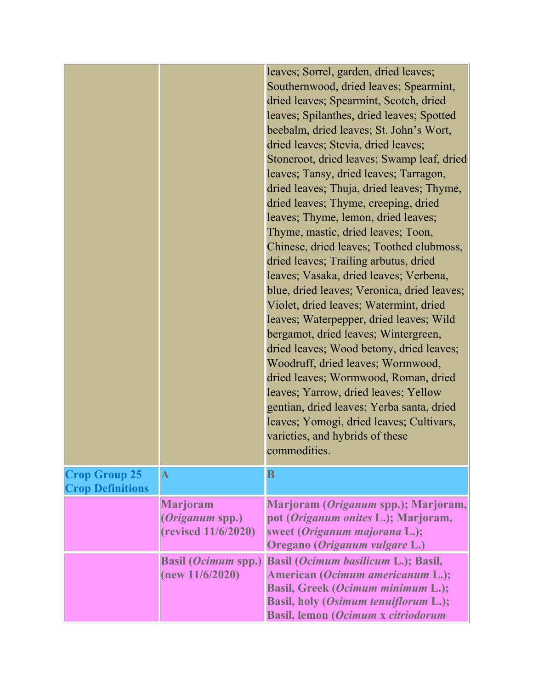|                                                 |                                                                  | leaves; Sorrel, garden, dried leaves;<br>Southernwood, dried leaves; Spearmint,<br>dried leaves; Spearmint, Scotch, dried<br>leaves; Spilanthes, dried leaves; Spotted<br>beebalm, dried leaves; St. John's Wort,<br>dried leaves; Stevia, dried leaves;<br>Stoneroot, dried leaves; Swamp leaf, dried<br>leaves; Tansy, dried leaves; Tarragon,<br>dried leaves; Thuja, dried leaves; Thyme,<br>dried leaves; Thyme, creeping, dried<br>leaves; Thyme, lemon, dried leaves;<br>Thyme, mastic, dried leaves; Toon,<br>Chinese, dried leaves; Toothed clubmoss,<br>dried leaves; Trailing arbutus, dried<br>leaves; Vasaka, dried leaves; Verbena,<br>blue, dried leaves; Veronica, dried leaves;<br>Violet, dried leaves; Watermint, dried<br>leaves; Waterpepper, dried leaves; Wild<br>bergamot, dried leaves; Wintergreen,<br>dried leaves; Wood betony, dried leaves;<br>Woodruff, dried leaves; Wormwood,<br>dried leaves; Wormwood, Roman, dried<br>leaves; Yarrow, dried leaves; Yellow<br>gentian, dried leaves; Yerba santa, dried<br>leaves; Yomogi, dried leaves; Cultivars,<br>varieties, and hybrids of these<br>commodities |
|-------------------------------------------------|------------------------------------------------------------------|-------------------------------------------------------------------------------------------------------------------------------------------------------------------------------------------------------------------------------------------------------------------------------------------------------------------------------------------------------------------------------------------------------------------------------------------------------------------------------------------------------------------------------------------------------------------------------------------------------------------------------------------------------------------------------------------------------------------------------------------------------------------------------------------------------------------------------------------------------------------------------------------------------------------------------------------------------------------------------------------------------------------------------------------------------------------------------------------------------------------------------------------|
| <b>Crop Group 25</b><br><b>Crop Definitions</b> | $\bold{A}$                                                       | $\bf{B}$                                                                                                                                                                                                                                                                                                                                                                                                                                                                                                                                                                                                                                                                                                                                                                                                                                                                                                                                                                                                                                                                                                                                  |
|                                                 | <b>Marjoram</b><br><i>(Origanum spp.)</i><br>(revised 11/6/2020) | Marjoram (Origanum spp.); Marjoram,<br>pot (Origanum onites L.); Marjoram,<br>sweet (Origanum majorana L.);<br>Oregano (Origanum vulgare L.)                                                                                                                                                                                                                                                                                                                                                                                                                                                                                                                                                                                                                                                                                                                                                                                                                                                                                                                                                                                              |
|                                                 | <b>Basil (Ocimum spp.)</b><br>(new 11/6/2020)                    | Basil (Ocimum basilicum L.); Basil,<br>American (Ocimum americanum L.);<br>Basil, Greek (Ocimum minimum L.);<br>Basil, holy (Osimum tenuiflorum L.);<br><b>Basil, lemon (Ocimum x citriodorum</b>                                                                                                                                                                                                                                                                                                                                                                                                                                                                                                                                                                                                                                                                                                                                                                                                                                                                                                                                         |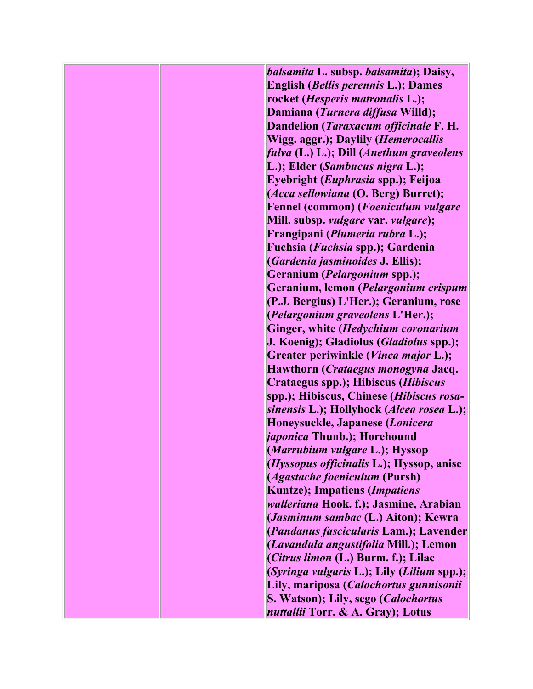*balsamita* **L. subsp.** *balsamita***); Daisy, English (***Bellis perennis* **L.); Dames rocket (***Hesperis matronalis* **L.); Damiana (***Turnera diffusa* **Willd); Dandelion (***Taraxacum officinale* **F. H. Wigg. aggr.); Daylily (***Hemerocallis fulva* **(L.) L.); Dill (***Anethum graveolens* **L.); Elder (***Sambucus nigra* **L.); Eyebright (***Euphrasia* **spp.); Feijoa (***Acca sellowiana* **(O. Berg) Burret); Fennel (common) (***Foeniculum vulgare* **Mill. subsp.** *vulgare* **var.** *vulgare***); Frangipani (***Plumeria rubra* **L.); Fuchsia (***Fuchsia* **spp.); Gardenia (***Gardenia jasminoides* **J. Ellis); Geranium (***Pelargonium* **spp.); Geranium, lemon (***Pelargonium crispum* **(P.J. Bergius) L'Her.); Geranium, rose (***Pelargonium graveolens* **L'Her.); Ginger, white (***Hedychium coronarium* **J. Koenig); Gladiolus (***Gladiolus* **spp.); Greater periwinkle (***Vinca major* **L.); Hawthorn (***Crataegus monogyna* **Jacq. Crataegus spp.); Hibiscus (***Hibiscus* **spp.); Hibiscus, Chinese (***Hibiscus rosasinensis* **L.); Hollyhock (***Alcea rosea* **L.); Honeysuckle, Japanese (***Lonicera japonica* **Thunb.); Horehound (***Marrubium vulgare* **L.); Hyssop (***Hyssopus officinalis* **L.); Hyssop, anise (***Agastache foeniculum* **(Pursh) Kuntze); Impatiens (***Impatiens walleriana* **Hook. f.); Jasmine, Arabian (***Jasminum sambac* **(L.) Aiton); Kewra (***Pandanus fascicularis* **Lam.); Lavender (***Lavandula angustifolia* **Mill.); Lemon (***Citrus limon* **(L.) Burm. f.); Lilac (***Syringa vulgaris* **L.); Lily (***Lilium* **spp.); Lily, mariposa (***Calochortus gunnisonii* **S. Watson); Lily, sego (***Calochortus nuttallii* **Torr. & A. Gray); Lotus**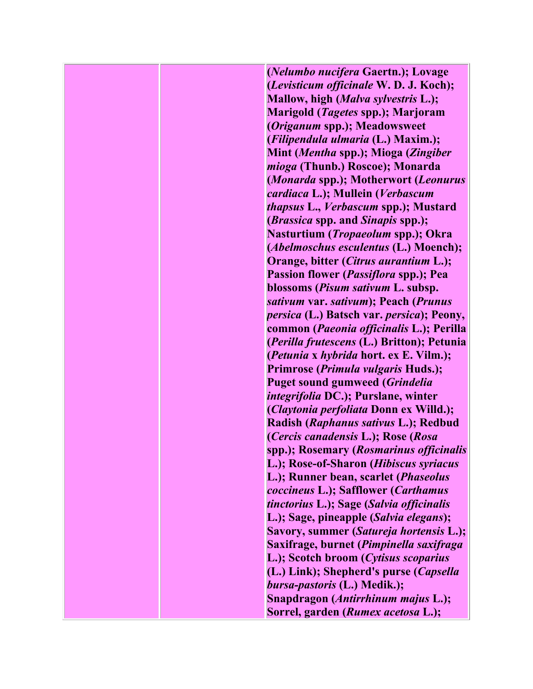**(***Nelumbo nucifera* **Gaertn.); Lovage (***Levisticum officinale* **W. D. J. Koch); Mallow, high (***Malva sylvestris* **L.); Marigold (***Tagetes* **spp.); Marjoram (***Origanum* **spp.); Meadowsweet (***Filipendula ulmaria* **(L.) Maxim.); Mint (***Mentha* **spp.); Mioga (***Zingiber mioga* **(Thunb.) Roscoe); Monarda (***Monarda* **spp.); Motherwort (***Leonurus cardiaca* **L.); Mullein (***Verbascum thapsus* **L.,** *Verbascum* **spp.); Mustard (***Brassica* **spp. and** *Sinapis* **spp.); Nasturtium (***Tropaeolum* **spp.); Okra (***Abelmoschus esculentus* **(L.) Moench); Orange, bitter (***Citrus aurantium* **L.); Passion flower (***Passiflora* **spp.); Pea blossoms (***Pisum sativum* **L. subsp.**  *sativum* **var.** *sativum***); Peach (***Prunus persica* **(L.) Batsch var.** *persica***); Peony, common (***Paeonia officinalis* **L.); Perilla (***Perilla frutescens* **(L.) Britton); Petunia (***Petunia* **x** *hybrida* **hort. ex E. Vilm.); Primrose (***Primula vulgaris* **Huds.); Puget sound gumweed (***Grindelia integrifolia* **DC.); Purslane, winter (***Claytonia perfoliata* **Donn ex Willd.); Radish (***Raphanus sativus* **L.); Redbud (***Cercis canadensis* **L.); Rose (***Rosa* **spp.); Rosemary (***Rosmarinus officinalis* **L.); Rose-of-Sharon (***Hibiscus syriacus* **L.); Runner bean, scarlet (***Phaseolus coccineus* **L.); Safflower (***Carthamus tinctorius* **L.); Sage (***Salvia officinalis* **L.); Sage, pineapple (***Salvia elegans***); Savory, summer (***Satureja hortensis* **L.); Saxifrage, burnet (***Pimpinella saxifraga* **L.); Scotch broom (***Cytisus scoparius* **(L.) Link); Shepherd's purse (***Capsella bursa-pastoris* **(L.) Medik.); Snapdragon (***Antirrhinum majus* **L.); Sorrel, garden (***Rumex acetosa* **L.);**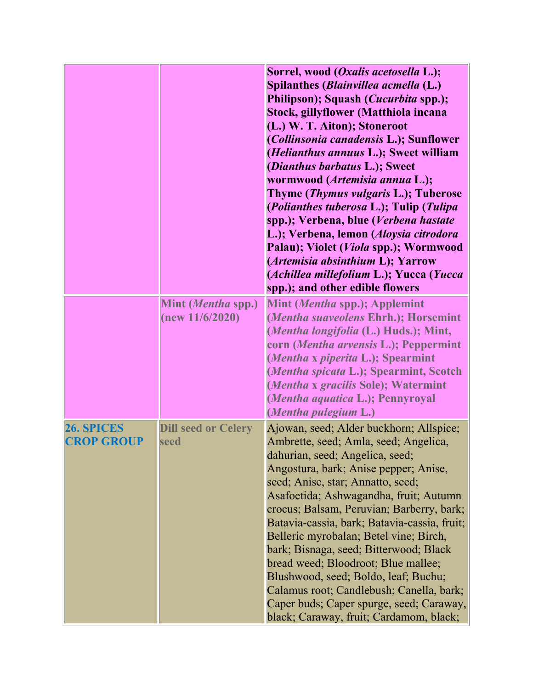|                                 |                                       | Sorrel, wood ( <i>Oxalis acetosella L.</i> );<br>Spilanthes ( <i>Blainvillea acmella</i> (L.)<br>Philipson); Squash (Cucurbita spp.);<br>Stock, gillyflower (Matthiola incana<br>(L.) W. T. Aiton); Stoneroot<br>(Collinsonia canadensis L.); Sunflower<br>(Helianthus annuus L.); Sweet william<br>(Dianthus barbatus L.); Sweet<br>wormwood (Artemisia annua L.);<br>Thyme (Thymus vulgaris L.); Tuberose<br>(Polianthes tuberosa L.); Tulip (Tulipa<br>spp.); Verbena, blue (Verbena hastate<br>L.); Verbena, lemon (Aloysia citrodora<br>Palau); Violet (Viola spp.); Wormwood<br>(Artemisia absinthium L); Yarrow<br>(Achillea millefolium L.); Yucca (Yucca<br>spp.); and other edible flowers |
|---------------------------------|---------------------------------------|------------------------------------------------------------------------------------------------------------------------------------------------------------------------------------------------------------------------------------------------------------------------------------------------------------------------------------------------------------------------------------------------------------------------------------------------------------------------------------------------------------------------------------------------------------------------------------------------------------------------------------------------------------------------------------------------------|
|                                 | Mint (Mentha spp.)<br>(new 11/6/2020) | Mint (Mentha spp.); Applemint<br>(Mentha suaveolens Ehrh.); Horsemint<br>(Mentha longifolia (L.) Huds.); Mint,<br>corn (Mentha arvensis L.); Peppermint<br>(Mentha x piperita L.); Spearmint<br>(Mentha spicata L.); Spearmint, Scotch<br>(Mentha x gracilis Sole); Watermint<br>(Mentha aquatica L.); Pennyroyal<br>(Mentha pulegium L.)                                                                                                                                                                                                                                                                                                                                                            |
| 26. SPICES<br><b>CROP GROUP</b> | <b>Dill seed or Celery</b><br>seed    | Ajowan, seed; Alder buckhorn; Allspice;<br>Ambrette, seed; Amla, seed; Angelica,<br>dahurian, seed; Angelica, seed;<br>Angostura, bark; Anise pepper; Anise,<br>seed; Anise, star; Annatto, seed;<br>Asafoetida; Ashwagandha, fruit; Autumn<br>crocus; Balsam, Peruvian; Barberry, bark;<br>Batavia-cassia, bark; Batavia-cassia, fruit;<br>Belleric myrobalan; Betel vine; Birch,<br>bark; Bisnaga, seed; Bitterwood; Black<br>bread weed; Bloodroot; Blue mallee;<br>Blushwood, seed; Boldo, leaf; Buchu;<br>Calamus root; Candlebush; Canella, bark;<br>Caper buds; Caper spurge, seed; Caraway,<br>black; Caraway, fruit; Cardamom, black;                                                       |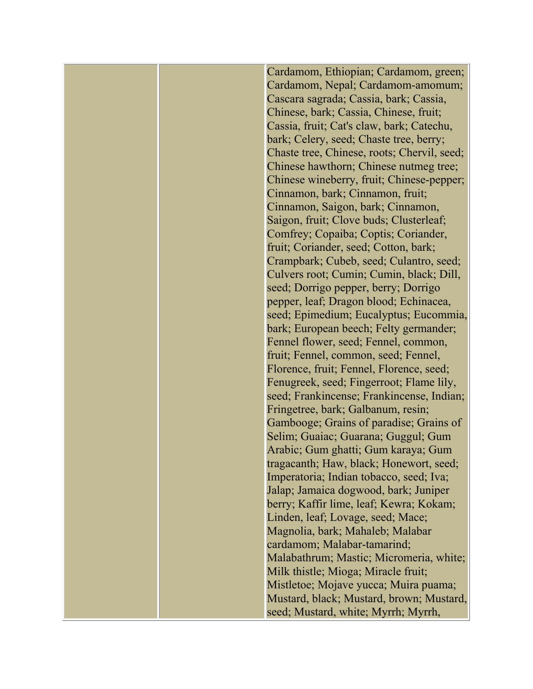Cardamom, Ethiopian; Cardamom, green; Cardamom, Nepal; Cardamom-amomum; Cascara sagrada; Cassia, bark; Cassia, Chinese, bark; Cassia, Chinese, fruit; Cassia, fruit; Cat's claw, bark; Catechu, bark; Celery, seed; Chaste tree, berry; Chaste tree, Chinese, roots; Chervil, seed; Chinese hawthorn; Chinese nutmeg tree; Chinese wineberry, fruit; Chinese-pepper; Cinnamon, bark; Cinnamon, fruit; Cinnamon, Saigon, bark; Cinnamon, Saigon, fruit; Clove buds; Clusterleaf; Comfrey; Copaiba; Coptis; Coriander, fruit; Coriander, seed; Cotton, bark; Crampbark; Cubeb, seed; Culantro, seed; Culvers root; Cumin; Cumin, black; Dill, seed; Dorrigo pepper, berry; Dorrigo pepper, leaf; Dragon blood; Echinacea, seed; Epimedium; Eucalyptus; Eucommia, bark; European beech; Felty germander; Fennel flower, seed; Fennel, common, fruit; Fennel, common, seed; Fennel, Florence, fruit; Fennel, Florence, seed; Fenugreek, seed; Fingerroot; Flame lily, seed; Frankincense; Frankincense, Indian; Fringetree, bark; Galbanum, resin; Gambooge; Grains of paradise; Grains of Selim; Guaiac; Guarana; Guggul; Gum Arabic; Gum ghatti; Gum karaya; Gum tragacanth; Haw, black; Honewort, seed; Imperatoria; Indian tobacco, seed; Iva; Jalap; Jamaica dogwood, bark; Juniper berry; Kaffir lime, leaf; Kewra; Kokam; Linden, leaf; Lovage, seed; Mace; Magnolia, bark; Mahaleb; Malabar cardamom; Malabar-tamarind; Malabathrum; Mastic; Micromeria, white; Milk thistle; Mioga; Miracle fruit; Mistletoe; Mojave yucca; Muira puama; Mustard, black; Mustard, brown; Mustard, seed; Mustard, white; Myrrh; Myrrh,